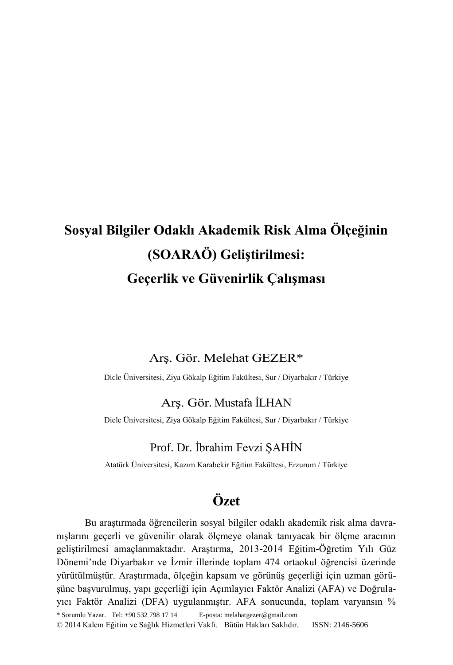# **Sosyal Bilgiler Odaklı Akademik Risk Alma Ölçeğinin (SOARAÖ) Geliştirilmesi: Geçerlik ve Güvenirlik Çalışması**

### Arş. Gör. Melehat GEZER\*

Dicle Üniversitesi, Ziya Gökalp Eğitim Fakültesi, Sur / Diyarbakır / Türkiye

### Arş. Gör. Mustafa İLHAN

Dicle Üniversitesi, Ziya Gökalp Eğitim Fakültesi, Sur / Diyarbakır / Türkiye

### Prof. Dr. İbrahim Fevzi ŞAHİN

Atatürk Üniversitesi, Kazım Karabekir Eğitim Fakültesi, Erzurum / Türkiye

## **Özet**

\* Sorumlu Yazar. Tel: +90 532 798 17 14 E-posta: melahatgezer@gmail.com © 2014 Kalem Eğitim ve Sağlık Hizmetleri Vakfı. Bütün Hakları Saklıdır. ISSN: 2146-5606 Bu araştırmada öğrencilerin sosyal bilgiler odaklı akademik risk alma davranışlarını geçerli ve güvenilir olarak ölçmeye olanak tanıyacak bir ölçme aracının geliştirilmesi amaçlanmaktadır. Araştırma, 2013-2014 Eğitim-Öğretim Yılı Güz Dönemi'nde Diyarbakır ve İzmir illerinde toplam 474 ortaokul öğrencisi üzerinde yürütülmüştür. Araştırmada, ölçeğin kapsam ve görünüş geçerliği için uzman görüşüne başvurulmuş, yapı geçerliği için Açımlayıcı Faktör Analizi (AFA) ve Doğrulayıcı Faktör Analizi (DFA) uygulanmıştır. AFA sonucunda, toplam varyansın %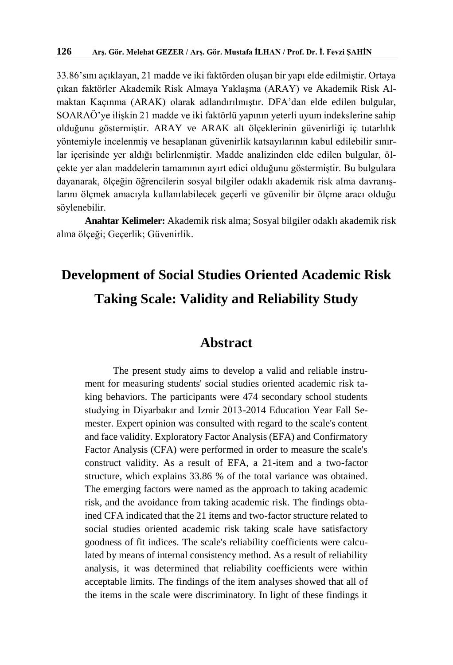33.86'sını açıklayan, 21 madde ve iki faktörden oluşan bir yapı elde edilmiştir. Ortaya çıkan faktörler Akademik Risk Almaya Yaklaşma (ARAY) ve Akademik Risk Almaktan Kaçınma (ARAK) olarak adlandırılmıştır. DFA'dan elde edilen bulgular, SOARAÖ'ye ilişkin 21 madde ve iki faktörlü yapının yeterli uyum indekslerine sahip olduğunu göstermiştir. ARAY ve ARAK alt ölçeklerinin güvenirliği iç tutarlılık yöntemiyle incelenmiş ve hesaplanan güvenirlik katsayılarının kabul edilebilir sınırlar içerisinde yer aldığı belirlenmiştir. Madde analizinden elde edilen bulgular, ölçekte yer alan maddelerin tamamının ayırt edici olduğunu göstermiştir. Bu bulgulara dayanarak, ölçeğin öğrencilerin sosyal bilgiler odaklı akademik risk alma davranışlarını ölçmek amacıyla kullanılabilecek geçerli ve güvenilir bir ölçme aracı olduğu söylenebilir.

**Anahtar Kelimeler:** Akademik risk alma; Sosyal bilgiler odaklı akademik risk alma ölçeği; Geçerlik; Güvenirlik.

# **Development of Social Studies Oriented Academic Risk Taking Scale: Validity and Reliability Study**

## **Abstract**

The present study aims to develop a valid and reliable instrument for measuring students' social studies oriented academic risk taking behaviors. The participants were 474 secondary school students studying in Diyarbakır and Izmir 2013-2014 Education Year Fall Semester. Expert opinion was consulted with regard to the scale's content and face validity. Exploratory Factor Analysis (EFA) and Confirmatory Factor Analysis (CFA) were performed in order to measure the scale's construct validity. As a result of EFA, a 21-item and a two-factor structure, which explains 33.86 % of the total variance was obtained. The emerging factors were named as the approach to taking academic risk, and the avoidance from taking academic risk. The findings obtained CFA indicated that the 21 items and two-factor structure related to social studies oriented academic risk taking scale have satisfactory goodness of fit indices. The scale's reliability coefficients were calculated by means of internal consistency method. As a result of reliability analysis, it was determined that reliability coefficients were within acceptable limits. The findings of the item analyses showed that all of the items in the scale were discriminatory. In light of these findings it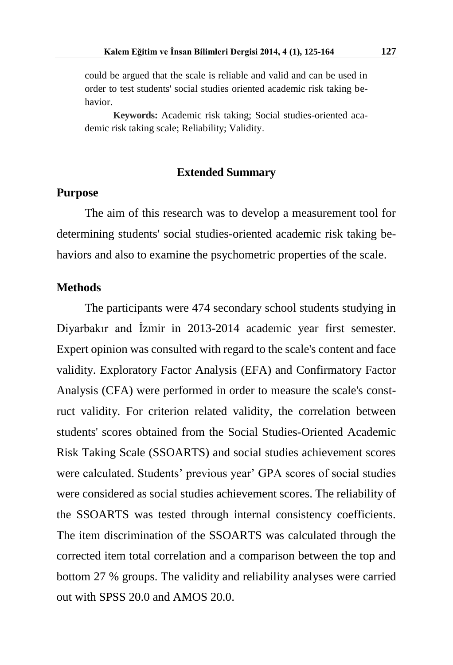could be argued that the scale is reliable and valid and can be used in order to test students' social studies oriented academic risk taking behavior.

**Keywords:** Academic risk taking; Social studies-oriented academic risk taking scale; Reliability; Validity.

#### **Extended Summary**

#### **Purpose**

The aim of this research was to develop a measurement tool for determining students' social studies-oriented academic risk taking behaviors and also to examine the psychometric properties of the scale.

#### **Methods**

The participants were 474 secondary school students studying in Diyarbakır and İzmir in 2013-2014 academic year first semester. Expert opinion was consulted with regard to the scale's content and face validity. Exploratory Factor Analysis (EFA) and Confirmatory Factor Analysis (CFA) were performed in order to measure the scale's construct validity. For criterion related validity, the correlation between students' scores obtained from the Social Studies-Oriented Academic Risk Taking Scale (SSOARTS) and social studies achievement scores were calculated. Students' previous year' GPA scores of social studies were considered as social studies achievement scores. The reliability of the SSOARTS was tested through internal consistency coefficients. The item discrimination of the SSOARTS was calculated through the corrected item total correlation and a comparison between the top and bottom 27 % groups. The validity and reliability analyses were carried out with SPSS 20.0 and AMOS 20.0.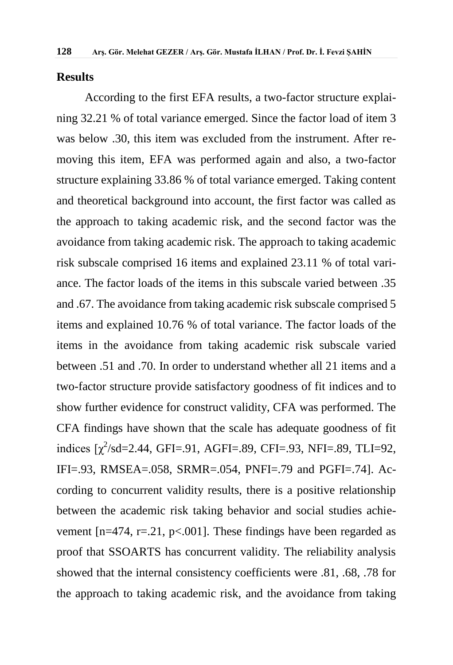#### **Results**

According to the first EFA results, a two-factor structure explaining 32.21 % of total variance emerged. Since the factor load of item 3 was below .30, this item was excluded from the instrument. After removing this item, EFA was performed again and also, a two-factor structure explaining 33.86 % of total variance emerged. Taking content and theoretical background into account, the first factor was called as the approach to taking academic risk, and the second factor was the avoidance from taking academic risk. The approach to taking academic risk subscale comprised 16 items and explained 23.11 % of total variance. The factor loads of the items in this subscale varied between .35 and .67. The avoidance from taking academic risk subscale comprised 5 items and explained 10.76 % of total variance. The factor loads of the items in the avoidance from taking academic risk subscale varied between .51 and .70. In order to understand whether all 21 items and a two-factor structure provide satisfactory goodness of fit indices and to show further evidence for construct validity, CFA was performed. The CFA findings have shown that the scale has adequate goodness of fit indices  $[\chi^2$ /sd=2.44, GFI=.91, AGFI=.89, CFI=.93, NFI=.89, TLI=92, IFI=.93, RMSEA=.058, SRMR=.054, PNFI=.79 and PGFI=.74]. According to concurrent validity results, there is a positive relationship between the academic risk taking behavior and social studies achievement  $[n=474, r=.21, p<.001]$ . These findings have been regarded as proof that SSOARTS has concurrent validity. The reliability analysis showed that the internal consistency coefficients were .81, .68, .78 for the approach to taking academic risk, and the avoidance from taking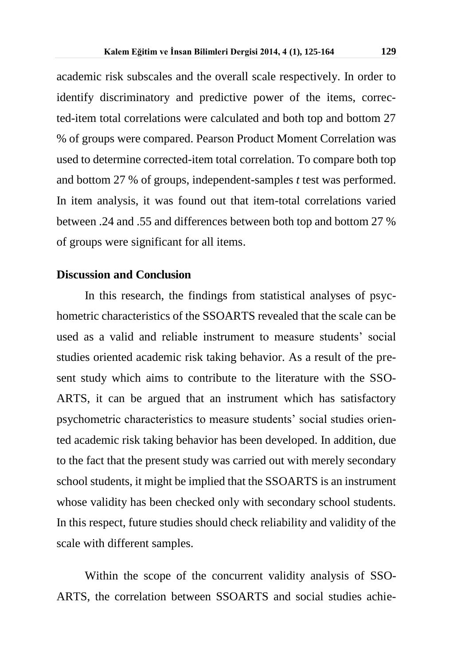academic risk subscales and the overall scale respectively. In order to identify discriminatory and predictive power of the items, corrected-item total correlations were calculated and both top and bottom 27 % of groups were compared. Pearson Product Moment Correlation was used to determine corrected-item total correlation. To compare both top and bottom 27 % of groups, independent-samples *t* test was performed. In item analysis, it was found out that item-total correlations varied between .24 and .55 and differences between both top and bottom 27 % of groups were significant for all items.

## **Discussion and Conclusion**

In this research, the findings from statistical analyses of psychometric characteristics of the SSOARTS revealed that the scale can be used as a valid and reliable instrument to measure students' social studies oriented academic risk taking behavior. As a result of the present study which aims to contribute to the literature with the SSO-ARTS, it can be argued that an instrument which has satisfactory psychometric characteristics to measure students' social studies oriented academic risk taking behavior has been developed. In addition, due to the fact that the present study was carried out with merely secondary school students, it might be implied that the SSOARTS is an instrument whose validity has been checked only with secondary school students. In this respect, future studies should check reliability and validity of the scale with different samples.

Within the scope of the concurrent validity analysis of SSO-ARTS, the correlation between SSOARTS and social studies achie-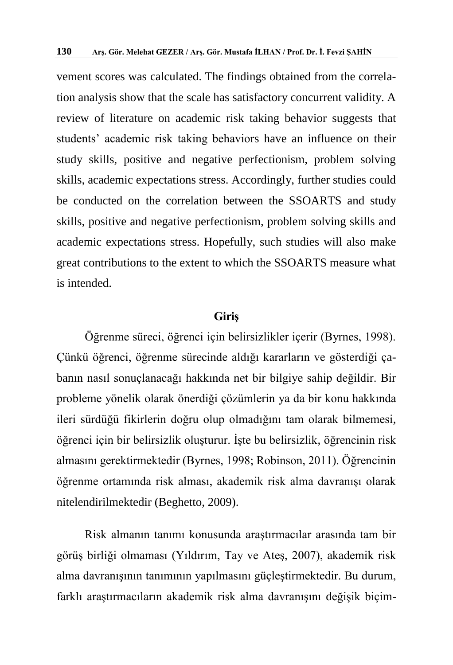vement scores was calculated. The findings obtained from the correlation analysis show that the scale has satisfactory concurrent validity. A review of literature on academic risk taking behavior suggests that students' academic risk taking behaviors have an influence on their study skills, positive and negative perfectionism, problem solving skills, academic expectations stress. Accordingly, further studies could be conducted on the correlation between the SSOARTS and study skills, positive and negative perfectionism, problem solving skills and academic expectations stress. Hopefully, such studies will also make great contributions to the extent to which the SSOARTS measure what is intended.

#### **Giriş**

Öğrenme süreci, öğrenci için belirsizlikler içerir (Byrnes, 1998). Çünkü öğrenci, öğrenme sürecinde aldığı kararların ve gösterdiği çabanın nasıl sonuçlanacağı hakkında net bir bilgiye sahip değildir. Bir probleme yönelik olarak önerdiği çözümlerin ya da bir konu hakkında ileri sürdüğü fikirlerin doğru olup olmadığını tam olarak bilmemesi, öğrenci için bir belirsizlik oluşturur. İşte bu belirsizlik, öğrencinin risk almasını gerektirmektedir (Byrnes, 1998; Robinson, 2011). Öğrencinin öğrenme ortamında risk alması, akademik risk alma davranışı olarak nitelendirilmektedir (Beghetto, 2009).

Risk almanın tanımı konusunda araştırmacılar arasında tam bir görüş birliği olmaması (Yıldırım, Tay ve Ateş, 2007), akademik risk alma davranışının tanımının yapılmasını güçleştirmektedir. Bu durum, farklı araştırmacıların akademik risk alma davranışını değişik biçim-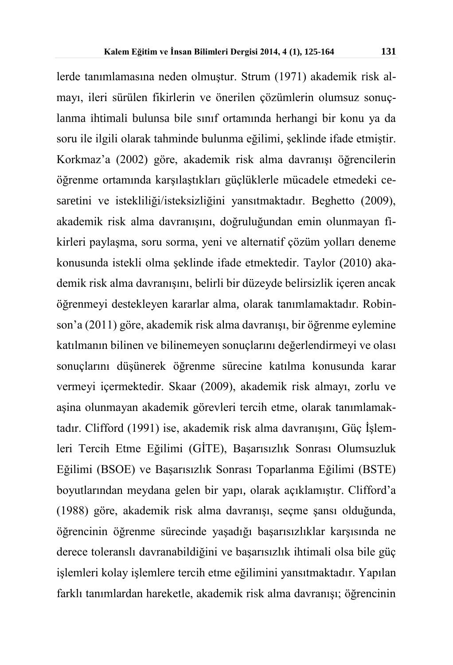lerde tanımlamasına neden olmuştur. Strum (1971) akademik risk almayı, ileri sürülen fikirlerin ve önerilen çözümlerin olumsuz sonuçlanma ihtimali bulunsa bile sınıf ortamında herhangi bir konu ya da soru ile ilgili olarak tahminde bulunma eğilimi, şeklinde ifade etmiştir. Korkmaz'a (2002) göre, akademik risk alma davranışı öğrencilerin öğrenme ortamında karşılaştıkları güçlüklerle mücadele etmedeki cesaretini ve istekliliği/isteksizliğini yansıtmaktadır. Beghetto (2009), akademik risk alma davranışını, doğruluğundan emin olunmayan fikirleri paylaşma, soru sorma, yeni ve alternatif çözüm yolları deneme konusunda istekli olma şeklinde ifade etmektedir. Taylor (2010) akademik risk alma davranışını, belirli bir düzeyde belirsizlik içeren ancak öğrenmeyi destekleyen kararlar alma, olarak tanımlamaktadır. Robinson'a (2011) göre, akademik risk alma davranışı, bir öğrenme eylemine katılmanın bilinen ve bilinemeyen sonuçlarını değerlendirmeyi ve olası sonuçlarını düşünerek öğrenme sürecine katılma konusunda karar vermeyi içermektedir. Skaar (2009), akademik risk almayı, zorlu ve aşina olunmayan akademik görevleri tercih etme, olarak tanımlamaktadır. Clifford (1991) ise, akademik risk alma davranışını, Güç İşlemleri Tercih Etme Eğilimi (GİTE), Başarısızlık Sonrası Olumsuzluk Eğilimi (BSOE) ve Başarısızlık Sonrası Toparlanma Eğilimi (BSTE) boyutlarından meydana gelen bir yapı, olarak açıklamıştır. Clifford'a (1988) göre, akademik risk alma davranışı, seçme şansı olduğunda, öğrencinin öğrenme sürecinde yaşadığı başarısızlıklar karşısında ne derece toleranslı davranabildiğini ve başarısızlık ihtimali olsa bile güç işlemleri kolay işlemlere tercih etme eğilimini yansıtmaktadır. Yapılan farklı tanımlardan hareketle, akademik risk alma davranışı; öğrencinin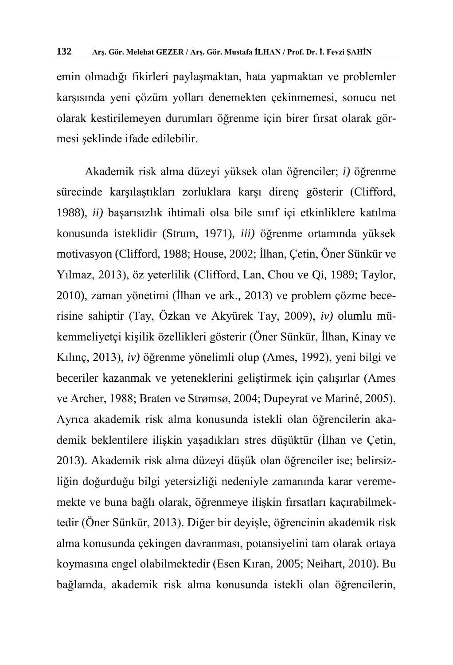emin olmadığı fikirleri paylaşmaktan, hata yapmaktan ve problemler karşısında yeni çözüm yolları denemekten çekinmemesi, sonucu net olarak kestirilemeyen durumları öğrenme için birer fırsat olarak görmesi şeklinde ifade edilebilir.

Akademik risk alma düzeyi yüksek olan öğrenciler; *i)* öğrenme sürecinde karşılaştıkları zorluklara karşı direnç gösterir (Clifford, 1988), *ii)* başarısızlık ihtimali olsa bile sınıf içi etkinliklere katılma konusunda isteklidir (Strum, 1971), *iii)* öğrenme ortamında yüksek motivasyon (Clifford, 1988; House, 2002; İlhan, Çetin, Öner Sünkür ve Yılmaz, 2013), öz yeterlilik (Clifford, Lan, Chou ve Qi, 1989; Taylor, 2010), zaman yönetimi (İlhan ve ark., 2013) ve problem çözme becerisine sahiptir (Tay, Özkan ve Akyürek Tay, 2009), *iv)* olumlu mükemmeliyetçi kişilik özellikleri gösterir (Öner Sünkür, İlhan, Kinay ve Kılınç, 2013), *iv)* öğrenme yönelimli olup (Ames, 1992), yeni bilgi ve beceriler kazanmak ve yeteneklerini geliştirmek için çalışırlar (Ames ve Archer, 1988; Braten ve Strømsø, 2004; Dupeyrat ve Mariné, 2005). Ayrıca akademik risk alma konusunda istekli olan öğrencilerin akademik beklentilere ilişkin yaşadıkları stres düşüktür (İlhan ve Çetin, 2013). Akademik risk alma düzeyi düşük olan öğrenciler ise; belirsizliğin doğurduğu bilgi yetersizliği nedeniyle zamanında karar verememekte ve buna bağlı olarak, öğrenmeye ilişkin fırsatları kaçırabilmektedir (Öner Sünkür, 2013). Diğer bir deyişle, öğrencinin akademik risk alma konusunda çekingen davranması, potansiyelini tam olarak ortaya koymasına engel olabilmektedir (Esen Kıran, 2005; Neihart, 2010). Bu bağlamda, akademik risk alma konusunda istekli olan öğrencilerin,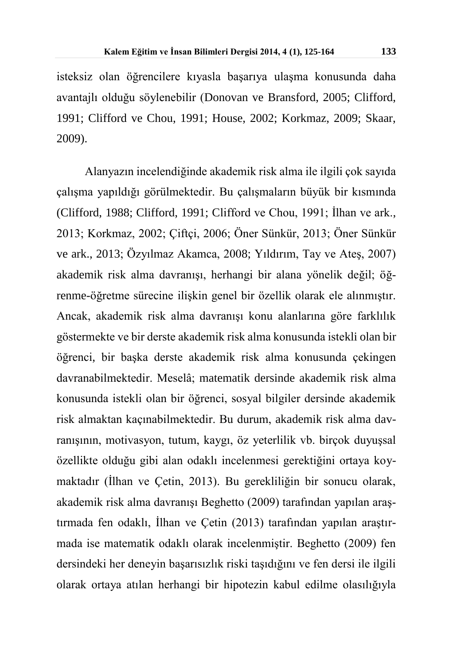isteksiz olan öğrencilere kıyasla başarıya ulaşma konusunda daha avantajlı olduğu söylenebilir (Donovan ve Bransford, 2005; Clifford, 1991; Clifford ve Chou, 1991; House, 2002; Korkmaz, 2009; Skaar, 2009).

Alanyazın incelendiğinde akademik risk alma ile ilgili çok sayıda çalışma yapıldığı görülmektedir. Bu çalışmaların büyük bir kısmında (Clifford, 1988; Clifford, 1991; Clifford ve Chou, 1991; İlhan ve ark., 2013; Korkmaz, 2002; Çiftçi, 2006; Öner Sünkür, 2013; Öner Sünkür ve ark., 2013; Özyılmaz Akamca, 2008; Yıldırım, Tay ve Ateş, 2007) akademik risk alma davranışı, herhangi bir alana yönelik değil; öğrenme-öğretme sürecine ilişkin genel bir özellik olarak ele alınmıştır. Ancak, akademik risk alma davranışı konu alanlarına göre farklılık göstermekte ve bir derste akademik risk alma konusunda istekli olan bir öğrenci, bir başka derste akademik risk alma konusunda çekingen davranabilmektedir. Meselâ; matematik dersinde akademik risk alma konusunda istekli olan bir öğrenci, sosyal bilgiler dersinde akademik risk almaktan kaçınabilmektedir. Bu durum, akademik risk alma davranışının, motivasyon, tutum, kaygı, öz yeterlilik vb. birçok duyuşsal özellikte olduğu gibi alan odaklı incelenmesi gerektiğini ortaya koymaktadır (İlhan ve Çetin, 2013). Bu gerekliliğin bir sonucu olarak, akademik risk alma davranışı Beghetto (2009) tarafından yapılan araştırmada fen odaklı, İlhan ve Çetin (2013) tarafından yapılan araştırmada ise matematik odaklı olarak incelenmiştir. Beghetto (2009) fen dersindeki her deneyin başarısızlık riski taşıdığını ve fen dersi ile ilgili olarak ortaya atılan herhangi bir hipotezin kabul edilme olasılığıyla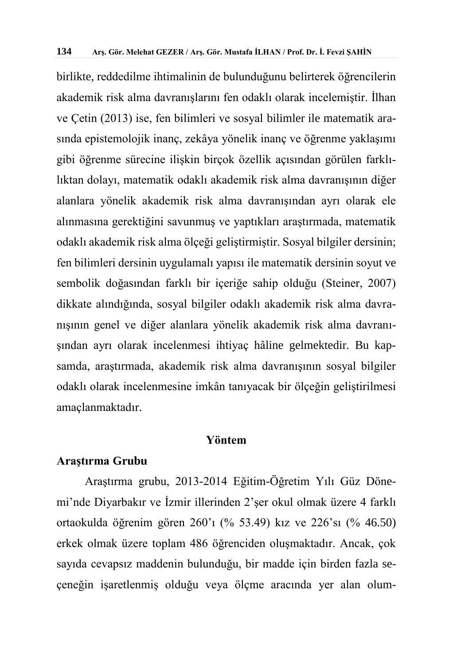birlikte, reddedilme ihtimalinin de bulunduğunu belirterek öğrencilerin akademik risk alma davranışlarını fen odaklı olarak incelemiştir. İlhan ve Çetin (2013) ise, fen bilimleri ve sosyal bilimler ile matematik arasında epistemolojik inanç, zekâya yönelik inanç ve öğrenme yaklaşımı gibi öğrenme sürecine ilişkin birçok özellik açısından görülen farklılıktan dolayı, matematik odaklı akademik risk alma davranışının diğer alanlara yönelik akademik risk alma davranışından ayrı olarak ele alınmasına gerektiğini savunmuş ve yaptıkları araştırmada, matematik odaklı akademik risk alma ölçeği geliştirmiştir. Sosyal bilgiler dersinin; fen bilimleri dersinin uygulamalı yapısı ile matematik dersinin soyut ve sembolik doğasından farklı bir içeriğe sahip olduğu (Steiner, 2007) dikkate alındığında, sosyal bilgiler odaklı akademik risk alma davranışının genel ve diğer alanlara yönelik akademik risk alma davranışından ayrı olarak incelenmesi ihtiyaç hâline gelmektedir. Bu kapsamda, araştırmada, akademik risk alma davranışının sosyal bilgiler odaklı olarak incelenmesine imkân tanıyacak bir ölçeğin geliştirilmesi amaçlanmaktadır.

#### **Yöntem**

## **Araştırma Grubu**

Araştırma grubu, 2013-2014 Eğitim-Öğretim Yılı Güz Dönemi'nde Diyarbakır ve İzmir illerinden 2'şer okul olmak üzere 4 farklı ortaokulda öğrenim gören 260'ı (% 53.49) kız ve 226'sı (% 46.50) erkek olmak üzere toplam 486 öğrenciden oluşmaktadır. Ancak, çok sayıda cevapsız maddenin bulunduğu, bir madde için birden fazla seçeneğin işaretlenmiş olduğu veya ölçme aracında yer alan olum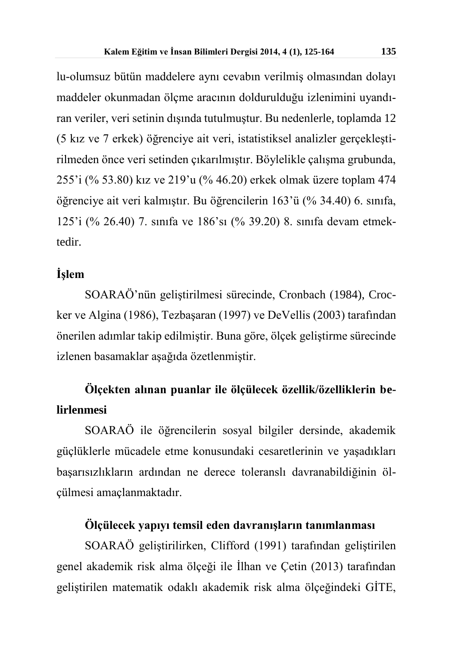lu-olumsuz bütün maddelere aynı cevabın verilmiş olmasından dolayı maddeler okunmadan ölçme aracının doldurulduğu izlenimini uyandıran veriler, veri setinin dışında tutulmuştur. Bu nedenlerle, toplamda 12 (5 kız ve 7 erkek) öğrenciye ait veri, istatistiksel analizler gerçekleştirilmeden önce veri setinden çıkarılmıştır. Böylelikle çalışma grubunda, 255'i (% 53.80) kız ve 219'u (% 46.20) erkek olmak üzere toplam 474 öğrenciye ait veri kalmıştır. Bu öğrencilerin 163'ü (% 34.40) 6. sınıfa, 125'i (% 26.40) 7. sınıfa ve 186'sı (% 39.20) 8. sınıfa devam etmektedir.

## **İşlem**

SOARAÖ'nün geliştirilmesi sürecinde, Cronbach (1984), Crocker ve Algina (1986), Tezbaşaran (1997) ve DeVellis (2003) tarafından önerilen adımlar takip edilmiştir. Buna göre, ölçek geliştirme sürecinde izlenen basamaklar aşağıda özetlenmiştir.

## **Ölçekten alınan puanlar ile ölçülecek özellik/özelliklerin belirlenmesi**

SOARAÖ ile öğrencilerin sosyal bilgiler dersinde, akademik güçlüklerle mücadele etme konusundaki cesaretlerinin ve yaşadıkları başarısızlıkların ardından ne derece toleranslı davranabildiğinin ölçülmesi amaçlanmaktadır.

## **Ölçülecek yapıyı temsil eden davranışların tanımlanması**

SOARAÖ geliştirilirken, Clifford (1991) tarafından geliştirilen genel akademik risk alma ölçeği ile İlhan ve Çetin (2013) tarafından geliştirilen matematik odaklı akademik risk alma ölçeğindeki GİTE,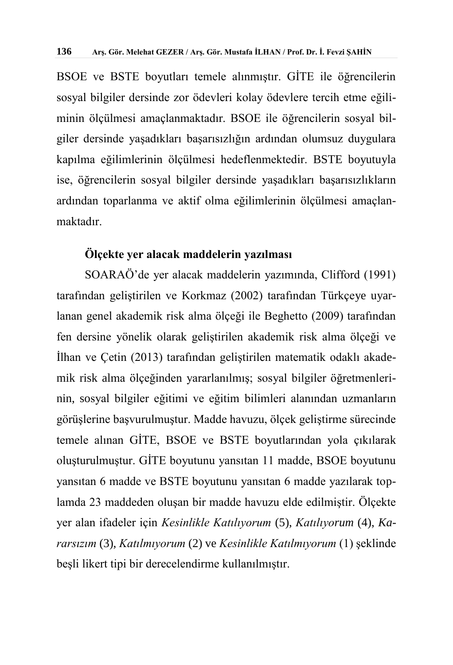BSOE ve BSTE boyutları temele alınmıştır. GİTE ile öğrencilerin sosyal bilgiler dersinde zor ödevleri kolay ödevlere tercih etme eğiliminin ölçülmesi amaçlanmaktadır. BSOE ile öğrencilerin sosyal bilgiler dersinde yaşadıkları başarısızlığın ardından olumsuz duygulara kapılma eğilimlerinin ölçülmesi hedeflenmektedir. BSTE boyutuyla ise, öğrencilerin sosyal bilgiler dersinde yaşadıkları başarısızlıkların ardından toparlanma ve aktif olma eğilimlerinin ölçülmesi amaçlanmaktadır.

## **Ölçekte yer alacak maddelerin yazılması**

SOARAÖ'de yer alacak maddelerin yazımında, Clifford (1991) tarafından geliştirilen ve Korkmaz (2002) tarafından Türkçeye uyarlanan genel akademik risk alma ölçeği ile Beghetto (2009) tarafından fen dersine yönelik olarak geliştirilen akademik risk alma ölçeği ve İlhan ve Çetin (2013) tarafından geliştirilen matematik odaklı akademik risk alma ölçeğinden yararlanılmış; sosyal bilgiler öğretmenlerinin, sosyal bilgiler eğitimi ve eğitim bilimleri alanından uzmanların görüşlerine başvurulmuştur. Madde havuzu, ölçek geliştirme sürecinde temele alınan GİTE, BSOE ve BSTE boyutlarından yola çıkılarak oluşturulmuştur. GİTE boyutunu yansıtan 11 madde, BSOE boyutunu yansıtan 6 madde ve BSTE boyutunu yansıtan 6 madde yazılarak toplamda 23 maddeden oluşan bir madde havuzu elde edilmiştir. Ölçekte yer alan ifadeler için *Kesinlikle Katılıyorum* (5), *Katılıyorum* (4), *Kararsızım* (3), *Katılmıyorum* (2) ve *Kesinlikle Katılmıyorum* (1) şeklinde beşli likert tipi bir derecelendirme kullanılmıştır.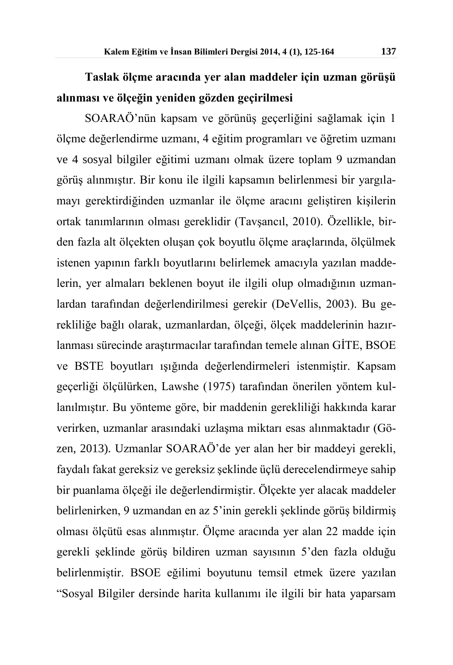## **Taslak ölçme aracında yer alan maddeler için uzman görüşü alınması ve ölçeğin yeniden gözden geçirilmesi**

SOARAÖ'nün kapsam ve görünüş geçerliğini sağlamak için 1 ölçme değerlendirme uzmanı, 4 eğitim programları ve öğretim uzmanı ve 4 sosyal bilgiler eğitimi uzmanı olmak üzere toplam 9 uzmandan görüş alınmıştır. Bir konu ile ilgili kapsamın belirlenmesi bir yargılamayı gerektirdiğinden uzmanlar ile ölçme aracını geliştiren kişilerin ortak tanımlarının olması gereklidir (Tavşancıl, 2010). Özellikle, birden fazla alt ölçekten oluşan çok boyutlu ölçme araçlarında, ölçülmek istenen yapının farklı boyutlarını belirlemek amacıyla yazılan maddelerin, yer almaları beklenen boyut ile ilgili olup olmadığının uzmanlardan tarafından değerlendirilmesi gerekir (DeVellis, 2003). Bu gerekliliğe bağlı olarak, uzmanlardan, ölçeği, ölçek maddelerinin hazırlanması sürecinde araştırmacılar tarafından temele alınan GİTE, BSOE ve BSTE boyutları ışığında değerlendirmeleri istenmiştir. Kapsam geçerliği ölçülürken, Lawshe (1975) tarafından önerilen yöntem kullanılmıştır. Bu yönteme göre, bir maddenin gerekliliği hakkında karar verirken, uzmanlar arasındaki uzlaşma miktarı esas alınmaktadır (Gözen, 2013). Uzmanlar SOARAÖ'de yer alan her bir maddeyi gerekli, faydalı fakat gereksiz ve gereksiz şeklinde üçlü derecelendirmeye sahip bir puanlama ölçeği ile değerlendirmiştir. Ölçekte yer alacak maddeler belirlenirken, 9 uzmandan en az 5'inin gerekli şeklinde görüş bildirmiş olması ölçütü esas alınmıştır. Ölçme aracında yer alan 22 madde için gerekli şeklinde görüş bildiren uzman sayısının 5'den fazla olduğu belirlenmiştir. BSOE eğilimi boyutunu temsil etmek üzere yazılan "Sosyal Bilgiler dersinde harita kullanımı ile ilgili bir hata yaparsam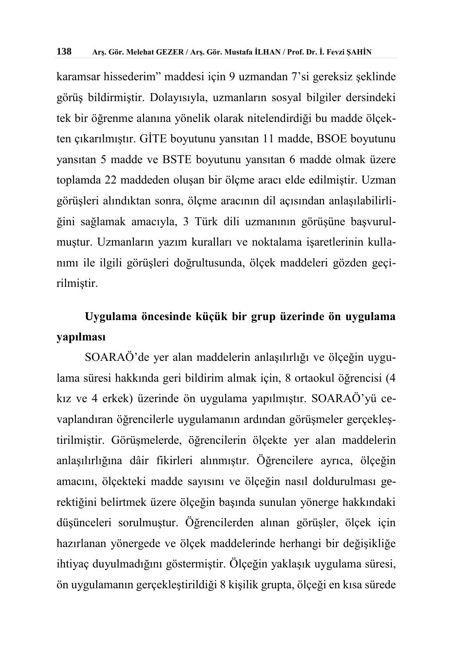karamsar hissederim" maddesi için 9 uzmandan 7'si gereksiz şeklinde görüş bildirmiştir. Dolayısıyla, uzmanların sosyal bilgiler dersindeki tek bir öğrenme alanına yönelik olarak nitelendirdiği bu madde ölçekten çıkarılmıştır. GİTE boyutunu yansıtan 11 madde, BSOE boyutunu yansıtan 5 madde ve BSTE boyutunu yansıtan 6 madde olmak üzere toplamda 22 maddeden oluşan bir ölçme aracı elde edilmiştir. Uzman görüşleri alındıktan sonra, ölçme aracının dil açısından anlaşılabilirliğini sağlamak amacıyla, 3 Türk dili uzmanının görüşüne başvurulmuştur. Uzmanların yazım kuralları ve noktalama işaretlerinin kullanımı ile ilgili görüşleri doğrultusunda, ölçek maddeleri gözden geçirilmiştir.

## **Uygulama öncesinde küçük bir grup üzerinde ön uygulama yapılması**

SOARAÖ'de yer alan maddelerin anlaşılırlığı ve ölçeğin uygulama süresi hakkında geri bildirim almak için, 8 ortaokul öğrencisi (4 kız ve 4 erkek) üzerinde ön uygulama yapılmıştır. SOARAÖ'yü cevaplandıran öğrencilerle uygulamanın ardından görüşmeler gerçekleştirilmiştir. Görüşmelerde, öğrencilerin ölçekte yer alan maddelerin anlaşılırlığına dâir fikirleri alınmıştır. Öğrencilere ayrıca, ölçeğin amacını, ölçekteki madde sayısını ve ölçeğin nasıl doldurulması gerektiğini belirtmek üzere ölçeğin başında sunulan yönerge hakkındaki düşünceleri sorulmuştur. Öğrencilerden alınan görüşler, ölçek için hazırlanan yönergede ve ölçek maddelerinde herhangi bir değişikliğe ihtiyaç duyulmadığını göstermiştir. Ölçeğin yaklaşık uygulama süresi, ön uygulamanın gerçekleştirildiği 8 kişilik grupta, ölçeği en kısa sürede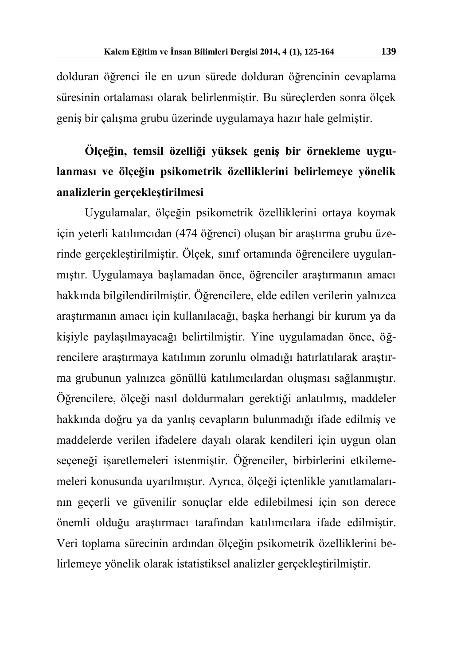dolduran öğrenci ile en uzun sürede dolduran öğrencinin cevaplama süresinin ortalaması olarak belirlenmiştir. Bu süreçlerden sonra ölçek geniş bir çalışma grubu üzerinde uygulamaya hazır hale gelmiştir.

## **Ölçeğin, temsil özelliği yüksek geniş bir örnekleme uygulanması ve ölçeğin psikometrik özelliklerini belirlemeye yönelik analizlerin gerçekleştirilmesi**

Uygulamalar, ölçeğin psikometrik özelliklerini ortaya koymak için yeterli katılımcıdan (474 öğrenci) oluşan bir araştırma grubu üzerinde gerçekleştirilmiştir. Ölçek, sınıf ortamında öğrencilere uygulanmıştır. Uygulamaya başlamadan önce, öğrenciler araştırmanın amacı hakkında bilgilendirilmiştir. Öğrencilere, elde edilen verilerin yalnızca araştırmanın amacı için kullanılacağı, başka herhangi bir kurum ya da kişiyle paylaşılmayacağı belirtilmiştir. Yine uygulamadan önce, öğrencilere araştırmaya katılımın zorunlu olmadığı hatırlatılarak araştırma grubunun yalnızca gönüllü katılımcılardan oluşması sağlanmıştır. Öğrencilere, ölçeği nasıl doldurmaları gerektiği anlatılmış, maddeler hakkında doğru ya da yanlış cevapların bulunmadığı ifade edilmiş ve maddelerde verilen ifadelere dayalı olarak kendileri için uygun olan seçeneği işaretlemeleri istenmiştir. Öğrenciler, birbirlerini etkilememeleri konusunda uyarılmıştır. Ayrıca, ölçeği içtenlikle yanıtlamalarının geçerli ve güvenilir sonuçlar elde edilebilmesi için son derece önemli olduğu araştırmacı tarafından katılımcılara ifade edilmiştir. Veri toplama sürecinin ardından ölçeğin psikometrik özelliklerini belirlemeye yönelik olarak istatistiksel analizler gerçekleştirilmiştir.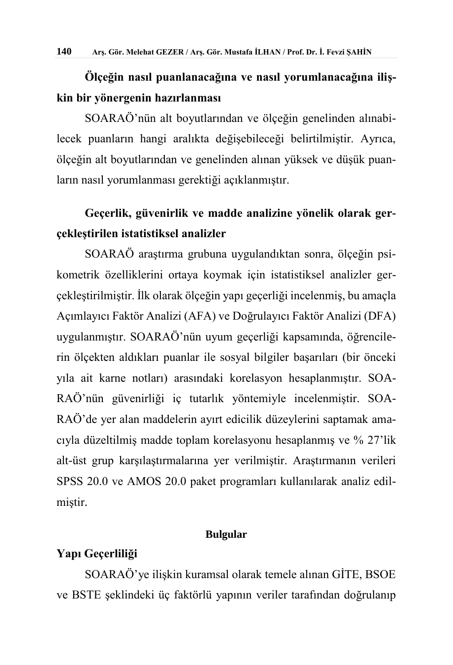## **Ölçeğin nasıl puanlanacağına ve nasıl yorumlanacağına ilişkin bir yönergenin hazırlanması**

SOARAÖ'nün alt boyutlarından ve ölçeğin genelinden alınabilecek puanların hangi aralıkta değişebileceği belirtilmiştir. Ayrıca, ölçeğin alt boyutlarından ve genelinden alınan yüksek ve düşük puanların nasıl yorumlanması gerektiği açıklanmıştır.

## **Geçerlik, güvenirlik ve madde analizine yönelik olarak gerçekleştirilen istatistiksel analizler**

SOARAÖ araştırma grubuna uygulandıktan sonra, ölçeğin psikometrik özelliklerini ortaya koymak için istatistiksel analizler gerçekleştirilmiştir. İlk olarak ölçeğin yapı geçerliği incelenmiş, bu amaçla Açımlayıcı Faktör Analizi (AFA) ve Doğrulayıcı Faktör Analizi (DFA) uygulanmıştır. SOARAÖ'nün uyum geçerliği kapsamında, öğrencilerin ölçekten aldıkları puanlar ile sosyal bilgiler başarıları (bir önceki yıla ait karne notları) arasındaki korelasyon hesaplanmıştır. SOA-RAÖ'nün güvenirliği iç tutarlık yöntemiyle incelenmiştir. SOA-RAÖ'de yer alan maddelerin ayırt edicilik düzeylerini saptamak amacıyla düzeltilmiş madde toplam korelasyonu hesaplanmış ve % 27'lik alt-üst grup karşılaştırmalarına yer verilmiştir. Araştırmanın verileri SPSS 20.0 ve AMOS 20.0 paket programları kullanılarak analiz edilmiştir.

#### **Bulgular**

## **Yapı Geçerliliği**

SOARAÖ'ye ilişkin kuramsal olarak temele alınan GİTE, BSOE ve BSTE şeklindeki üç faktörlü yapının veriler tarafından doğrulanıp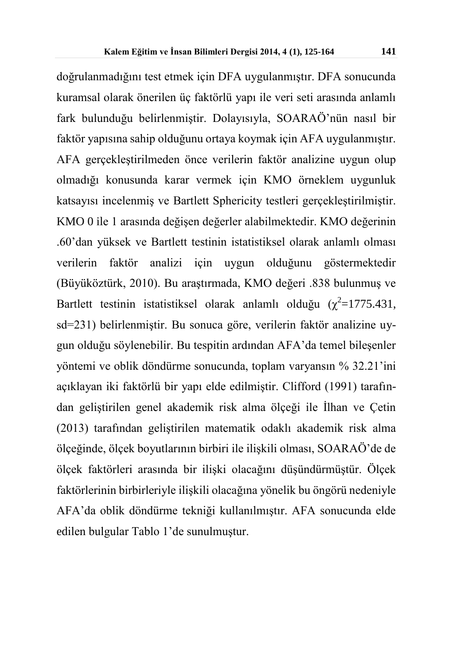doğrulanmadığını test etmek için DFA uygulanmıştır. DFA sonucunda kuramsal olarak önerilen üç faktörlü yapı ile veri seti arasında anlamlı fark bulunduğu belirlenmiştir. Dolayısıyla, SOARAÖ'nün nasıl bir faktör yapısına sahip olduğunu ortaya koymak için AFA uygulanmıştır. AFA gerçekleştirilmeden önce verilerin faktör analizine uygun olup olmadığı konusunda karar vermek için KMO örneklem uygunluk katsayısı incelenmiş ve Bartlett Sphericity testleri gerçekleştirilmiştir. KMO 0 ile 1 arasında değişen değerler alabilmektedir. KMO değerinin .60'dan yüksek ve Bartlett testinin istatistiksel olarak anlamlı olması verilerin faktör analizi için uygun olduğunu göstermektedir (Büyüköztürk, 2010). Bu araştırmada, KMO değeri .838 bulunmuş ve Bartlett testinin istatistiksel olarak anlamlı olduğu  $(\chi^2=1775.431,$ sd=231) belirlenmiştir. Bu sonuca göre, verilerin faktör analizine uygun olduğu söylenebilir. Bu tespitin ardından AFA'da temel bileşenler yöntemi ve oblik döndürme sonucunda, toplam varyansın % 32.21'ini açıklayan iki faktörlü bir yapı elde edilmiştir. Clifford (1991) tarafından geliştirilen genel akademik risk alma ölçeği ile İlhan ve Çetin (2013) tarafından geliştirilen matematik odaklı akademik risk alma ölçeğinde, ölçek boyutlarının birbiri ile ilişkili olması, SOARAÖ'de de ölçek faktörleri arasında bir ilişki olacağını düşündürmüştür. Ölçek faktörlerinin birbirleriyle ilişkili olacağına yönelik bu öngörü nedeniyle AFA'da oblik döndürme tekniği kullanılmıştır. AFA sonucunda elde edilen bulgular Tablo 1'de sunulmuştur.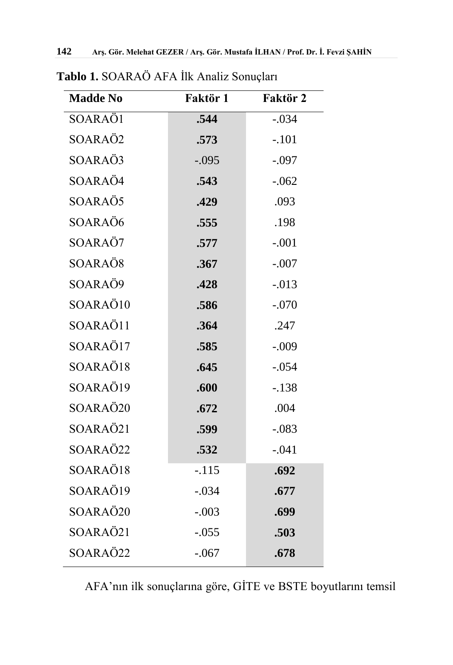| <b>Madde No</b> | Faktör 1 | Faktör 2 |
|-----------------|----------|----------|
| SOARAÖ1         | .544     | $-.034$  |
| SOARAÖ2         | .573     | $-.101$  |
| SOARAÖ3         | $-.095$  | $-.097$  |
| SOARAÖ4         | .543     | $-.062$  |
| SOARAÖ5         | .429     | .093     |
| SOARAÖ6         | .555     | .198     |
| SOARAÖ7         | .577     | $-.001$  |
| SOARAÖ8         | .367     | $-.007$  |
| SOARAÖ9         | .428     | $-.013$  |
| SOARAÖ10        | .586     | $-.070$  |
| SOARAÖ11        | .364     | .247     |
| SOARAÖ17        | .585     | $-.009$  |
| SOARAÖ18        | .645     | $-.054$  |
| SOARAÖ19        | .600     | $-.138$  |
| SOARAÖ20        | .672     | .004     |
| SOARAÖ21        | .599     | $-.083$  |
| SOARAÖ22        | .532     | $-.041$  |
| SOARAÖ18        | $-.115$  | .692     |
| SOARAÖ19        | $-.034$  | .677     |
| SOARAÖ20        | $-.003$  | .699     |
| SOARAÖ21        | $-.055$  | .503     |
| SOARAÖ22        | $-.067$  | .678     |

**Tablo 1.** SOARAÖ AFA İlk Analiz Sonuçları

AFA'nın ilk sonuçlarına göre, GİTE ve BSTE boyutlarını temsil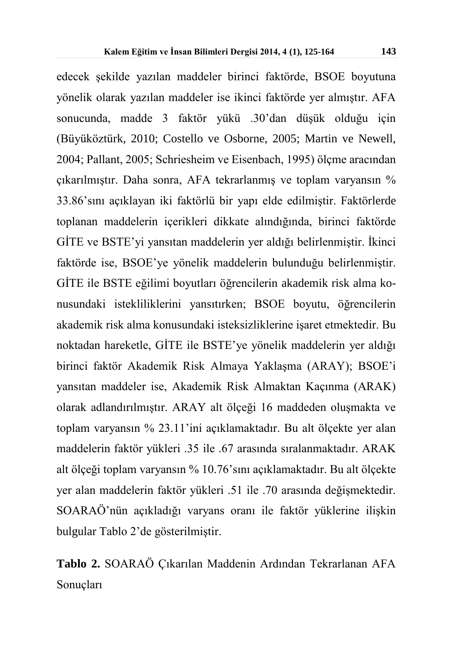edecek şekilde yazılan maddeler birinci faktörde, BSOE boyutuna yönelik olarak yazılan maddeler ise ikinci faktörde yer almıştır. AFA sonucunda, madde 3 faktör yükü .30'dan düşük olduğu için (Büyüköztürk, 2010; Costello ve Osborne, 2005; Martin ve Newell, 2004; Pallant, 2005; Schriesheim ve Eisenbach, 1995) ölçme aracından çıkarılmıştır. Daha sonra, AFA tekrarlanmış ve toplam varyansın % 33.86'sını açıklayan iki faktörlü bir yapı elde edilmiştir. Faktörlerde toplanan maddelerin içerikleri dikkate alındığında, birinci faktörde GİTE ve BSTE'yi yansıtan maddelerin yer aldığı belirlenmiştir. İkinci faktörde ise, BSOE'ye yönelik maddelerin bulunduğu belirlenmiştir. GİTE ile BSTE eğilimi boyutları öğrencilerin akademik risk alma konusundaki istekliliklerini yansıtırken; BSOE boyutu, öğrencilerin akademik risk alma konusundaki isteksizliklerine işaret etmektedir. Bu noktadan hareketle, GİTE ile BSTE'ye yönelik maddelerin yer aldığı birinci faktör Akademik Risk Almaya Yaklaşma (ARAY); BSOE'i yansıtan maddeler ise, Akademik Risk Almaktan Kaçınma (ARAK) olarak adlandırılmıştır. ARAY alt ölçeği 16 maddeden oluşmakta ve toplam varyansın % 23.11'ini açıklamaktadır. Bu alt ölçekte yer alan maddelerin faktör yükleri .35 ile .67 arasında sıralanmaktadır. ARAK alt ölçeği toplam varyansın % 10.76'sını açıklamaktadır. Bu alt ölçekte yer alan maddelerin faktör yükleri .51 ile .70 arasında değişmektedir. SOARAÖ'nün açıkladığı varyans oranı ile faktör yüklerine ilişkin bulgular Tablo 2'de gösterilmiştir.

**Tablo 2.** SOARAÖ Çıkarılan Maddenin Ardından Tekrarlanan AFA Sonuçları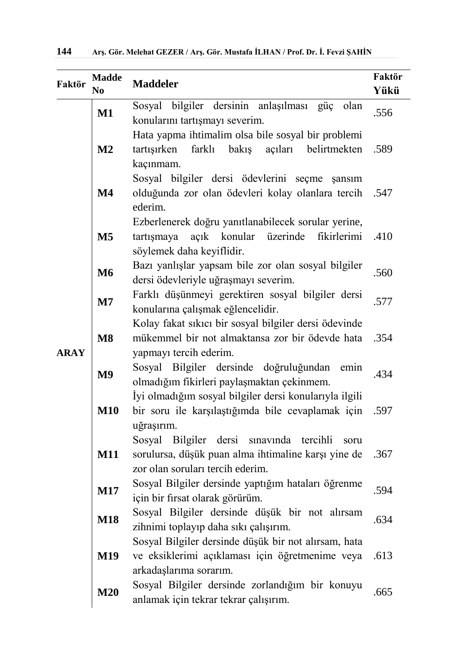| Faktör      | <b>Madde</b><br>N <sub>0</sub> | <b>Maddeler</b>                                                                                                                             | Faktör<br>Yükü |  |  |  |  |  |  |
|-------------|--------------------------------|---------------------------------------------------------------------------------------------------------------------------------------------|----------------|--|--|--|--|--|--|
|             | $\mathbf{M1}$                  | Sosyal bilgiler dersinin anlaşılması güç<br>olan<br>konularını tartışmayı severim.                                                          | .556           |  |  |  |  |  |  |
|             | M <sub>2</sub>                 | Hata yapma ihtimalim olsa bile sosyal bir problemi<br>farklı bakış<br>açıları<br>belirtmekten<br>tartışırken<br>kaçınmam.                   | .589           |  |  |  |  |  |  |
|             | $\mathbf{M}4$                  | Sosyal bilgiler dersi ödevlerini seçme<br>şansım<br>olduğunda zor olan ödevleri kolay olanlara tercih<br>.547<br>ederim.                    |                |  |  |  |  |  |  |
|             | M <sub>5</sub>                 | Ezberlenerek doğru yanıtlanabilecek sorular yerine,<br>açık konular üzerinde<br>tartışmaya<br>fikirlerimi<br>söylemek daha keyiflidir.      | .410           |  |  |  |  |  |  |
|             | <b>M6</b>                      | Bazı yanlışlar yapsam bile zor olan sosyal bilgiler<br>dersi ödevleriyle uğraşmayı severim.                                                 | .560           |  |  |  |  |  |  |
|             | $\mathbf{M}$ 7                 | Farklı düşünmeyi gerektiren sosyal bilgiler dersi<br>konularına çalışmak eğlencelidir.                                                      | .577           |  |  |  |  |  |  |
| <b>ARAY</b> | M8                             | Kolay fakat sıkıcı bir sosyal bilgiler dersi ödevinde<br>mükemmel bir not almaktansa zor bir ödevde hata<br>yapmayı tercih ederim.          | .354           |  |  |  |  |  |  |
|             | M <sub>9</sub>                 | Sosyal Bilgiler dersinde doğruluğundan emin<br>olmadığım fikirleri paylaşmaktan çekinmem.                                                   | .434           |  |  |  |  |  |  |
|             | <b>M10</b>                     | İyi olmadığım sosyal bilgiler dersi konularıyla ilgili<br>bir soru ile karşılaştığımda bile cevaplamak için<br>uğraşırım.                   | .597           |  |  |  |  |  |  |
|             | <b>M11</b>                     | Sosyal Bilgiler dersi sınavında tercihli<br>soru<br>sorulursa, düşük puan alma ihtimaline karşı yine de<br>zor olan soruları tercih ederim. | .367           |  |  |  |  |  |  |
|             | <b>M17</b>                     | Sosyal Bilgiler dersinde yaptığım hataları öğrenme<br>için bir fırsat olarak görürüm.                                                       | .594           |  |  |  |  |  |  |
|             | <b>M18</b>                     | Sosyal Bilgiler dersinde düşük bir not alırsam<br>zihnimi toplayıp daha sıkı çalışırım.                                                     | .634           |  |  |  |  |  |  |
|             | M19                            | Sosyal Bilgiler dersinde düşük bir not alırsam, hata<br>ve eksiklerimi açıklaması için öğretmenime veya<br>arkadaşlarıma sorarım.           | .613           |  |  |  |  |  |  |
|             | M20                            | Sosyal Bilgiler dersinde zorlandığım bir konuyu<br>anlamak için tekrar tekrar çalışırım.                                                    | .665           |  |  |  |  |  |  |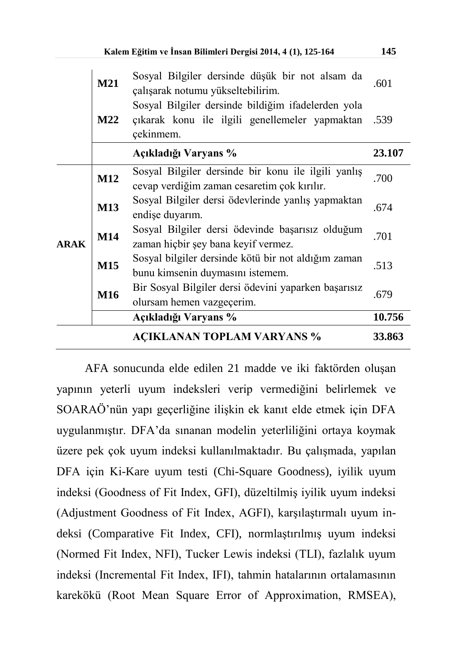|             | Kalem Eğitim ve İnsan Bilimleri Dergisi 2014, 4 (1), 125-164 |                                                                                                                   |        |  |  |  |
|-------------|--------------------------------------------------------------|-------------------------------------------------------------------------------------------------------------------|--------|--|--|--|
|             | M21                                                          | Sosyal Bilgiler dersinde düşük bir not alsam da<br>çalışarak notumu yükseltebilirim.                              |        |  |  |  |
|             | <b>M22</b>                                                   | Sosyal Bilgiler dersinde bildiğim ifadelerden yola<br>çıkarak konu ile ilgili genellemeler yapmaktan<br>çekinmem. | .539   |  |  |  |
|             | Açıkladığı Varyans %                                         |                                                                                                                   |        |  |  |  |
|             | M12                                                          | Sosyal Bilgiler dersinde bir konu ile ilgili yanlış<br>cevap verdiğim zaman cesaretim çok kırılır.                | .700   |  |  |  |
| <b>ARAK</b> | M13                                                          | Sosyal Bilgiler dersi ödevlerinde yanlış yapmaktan<br>endişe duyarım.                                             | .674   |  |  |  |
|             | M14                                                          | Sosyal Bilgiler dersi ödevinde başarısız olduğum<br>zaman hiçbir şey bana keyif vermez.                           | .701   |  |  |  |
|             | M15                                                          | Sosyal bilgiler dersinde kötü bir not aldığım zaman<br>bunu kimsenin duymasını istemem.                           |        |  |  |  |
|             | M16                                                          | Bir Sosyal Bilgiler dersi ödevini yaparken başarısız<br>olursam hemen vazgeçerim.                                 |        |  |  |  |
|             |                                                              | Açıkladığı Varyans %                                                                                              | 10.756 |  |  |  |
|             |                                                              | <b>ACIKLANAN TOPLAM VARYANS %</b>                                                                                 | 33.863 |  |  |  |

AFA sonucunda elde edilen 21 madde ve iki faktörden oluşan yapının yeterli uyum indeksleri verip vermediğini belirlemek ve SOARAÖ'nün yapı geçerliğine ilişkin ek kanıt elde etmek için DFA uygulanmıştır. DFA'da sınanan modelin yeterliliğini ortaya koymak üzere pek çok uyum indeksi kullanılmaktadır. Bu çalışmada, yapılan DFA için Ki-Kare uyum testi (Chi-Square Goodness), iyilik uyum indeksi (Goodness of Fit Index, GFI), düzeltilmiş iyilik uyum indeksi (Adjustment Goodness of Fit Index, AGFI), karşılaştırmalı uyum indeksi (Comparative Fit Index, CFI), normlaştırılmış uyum indeksi (Normed Fit Index, NFI), Tucker Lewis indeksi (TLI), fazlalık uyum indeksi (Incremental Fit Index, IFI), tahmin hatalarının ortalamasının karekökü (Root Mean Square Error of Approximation, RMSEA),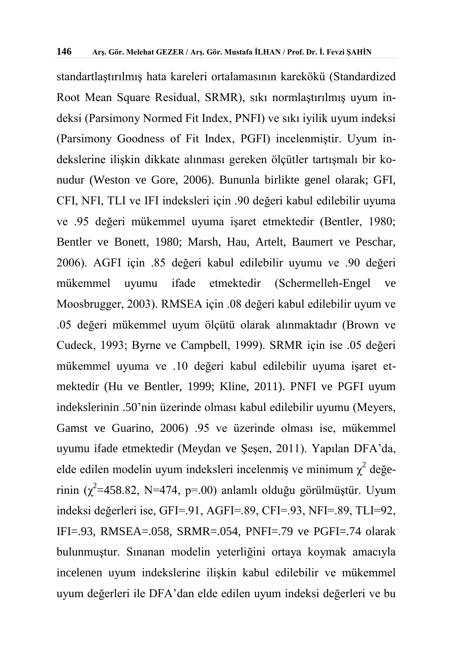standartlaştırılmış hata kareleri ortalamasının karekökü (Standardized Root Mean Square Residual, SRMR), sıkı normlaştırılmış uyum indeksi (Parsimony Normed Fit Index, PNFI) ve sıkı iyilik uyum indeksi (Parsimony Goodness of Fit Index, PGFI) incelenmiştir. Uyum indekslerine ilişkin dikkate alınması gereken ölçütler tartışmalı bir konudur (Weston ve Gore, 2006). Bununla birlikte genel olarak; GFI, CFI, NFI, TLI ve IFI indeksleri için .90 değeri kabul edilebilir uyuma ve .95 değeri mükemmel uyuma işaret etmektedir (Bentler, 1980; Bentler ve Bonett, 1980; Marsh, Hau, Artelt, Baumert ve Peschar, 2006). AGFI için .85 değeri kabul edilebilir uyumu ve .90 değeri mükemmel uyumu ifade etmektedir (Schermelleh-Engel ve Moosbrugger, 2003). RMSEA için .08 değeri kabul edilebilir uyum ve .05 değeri mükemmel uyum ölçütü olarak alınmaktadır (Brown ve Cudeck, 1993; Byrne ve Campbell, 1999). SRMR için ise .05 değeri mükemmel uyuma ve .10 değeri kabul edilebilir uyuma işaret etmektedir (Hu ve Bentler, 1999; Kline, 2011). PNFI ve PGFI uyum indekslerinin .50'nin üzerinde olması kabul edilebilir uyumu (Meyers, Gamst ve Guarino, 2006) .95 ve üzerinde olması ise, mükemmel uyumu ifade etmektedir (Meydan ve Şeşen, 2011). Yapılan DFA'da, elde edilen modelin uyum indeksleri incelenmiş ve minimum  $\chi^2$  değerinin ( $\chi^2$ =458.82, N=474, p=.00) anlamlı olduğu görülmüştür. Uyum indeksi değerleri ise, GFI=.91, AGFI=.89, CFI=.93, NFI=.89, TLI=92, IFI=.93, RMSEA=.058, SRMR=.054, PNFI=.79 ve PGFI=.74 olarak bulunmuştur. Sınanan modelin yeterliğini ortaya koymak amacıyla incelenen uyum indekslerine ilişkin kabul edilebilir ve mükemmel uyum değerleri ile DFA'dan elde edilen uyum indeksi değerleri ve bu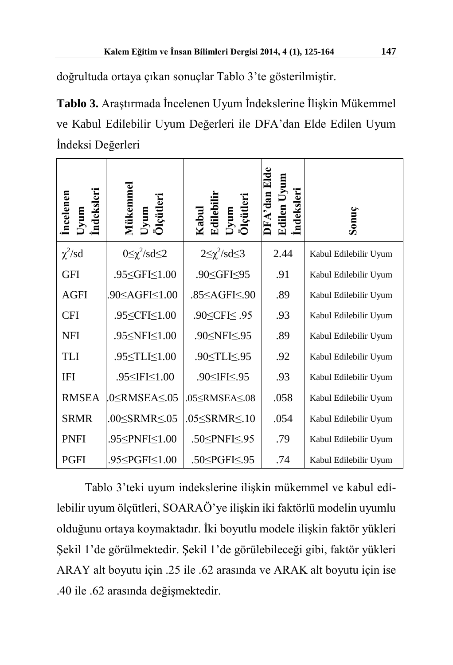doğrultuda ortaya çıkan sonuçlar Tablo 3'te gösterilmiştir.

**Tablo 3.** Araştırmada İncelenen Uyum İndekslerine İlişkin Mükemmel ve Kabul Edilebilir Uyum Değerleri ile DFA'dan Elde Edilen Uyum İndeksi Değerleri

| ndeksleri<br>Incelenen | Mükemme<br><b>Dicutleri</b><br>mm                                                                                                 | Kabul<br>Edilebilir<br>Jyum<br>)1çütleri | ndeksleri<br>Edilen | Sonuç                 |
|------------------------|-----------------------------------------------------------------------------------------------------------------------------------|------------------------------------------|---------------------|-----------------------|
| $\chi^2$ /sd           | $0 \leq \chi^2 / sd \leq 2$                                                                                                       | $2\leq \chi^2/\text{sd}\leq 3$           | 2.44                | Kabul Edilebilir Uyum |
| <b>GFI</b>             | .95≤GFI≤1.00                                                                                                                      | .90≤GFI≤95                               | .91                 | Kabul Edilebilir Uyum |
| <b>AGFI</b>            | .90≤AGFI≤1.00                                                                                                                     | .85≤AGFI≤.90                             | .89                 | Kabul Edilebilir Uyum |
| <b>CFI</b>             | .95≤CFI≤1.00                                                                                                                      | .90≤CFI≤ .95                             | .93                 | Kabul Edilebilir Uyum |
| <b>NFI</b>             | .95 SNFI <1.00                                                                                                                    | .90≤NFI≤.95                              | .89                 | Kabul Edilebilir Uyum |
| <b>TLI</b>             | .95 TLI <1.00                                                                                                                     | .90≤TLI≤.95                              | .92                 | Kabul Edilebilir Uyum |
| <b>IFI</b>             | .95≤IFI≤1.00                                                                                                                      | .90≤IFI≤.95                              | .93                 | Kabul Edilebilir Uyum |
| <b>RMSEA</b>           | .0 <rmsea<.05< td=""><td>.05<math>\le</math>RMSEA<math>\le</math>.08</td><td>.058</td><td>Kabul Edilebilir Uyum</td></rmsea<.05<> | .05 $\le$ RMSEA $\le$ .08                | .058                | Kabul Edilebilir Uyum |
| <b>SRMR</b>            | .00 $\leq$ SRMR $\leq$ .05                                                                                                        | .05 $\leq$ SRMR $\leq$ .10               | .054                | Kabul Edilebilir Uyum |
| <b>PNFI</b>            | .95 PNFI \ 1.00                                                                                                                   | .50≤PNFI≤.95                             | .79                 | Kabul Edilebilir Uyum |
| <b>PGFI</b>            | .95 PGFI  \[ 1.00                                                                                                                 | .50≤PGFI≤.95                             | .74                 | Kabul Edilebilir Uyum |

Tablo 3'teki uyum indekslerine ilişkin mükemmel ve kabul edilebilir uyum ölçütleri, SOARAÖ'ye ilişkin iki faktörlü modelin uyumlu olduğunu ortaya koymaktadır. İki boyutlu modele ilişkin faktör yükleri Şekil 1'de görülmektedir. Şekil 1'de görülebileceği gibi, faktör yükleri ARAY alt boyutu için .25 ile .62 arasında ve ARAK alt boyutu için ise .40 ile .62 arasında değişmektedir.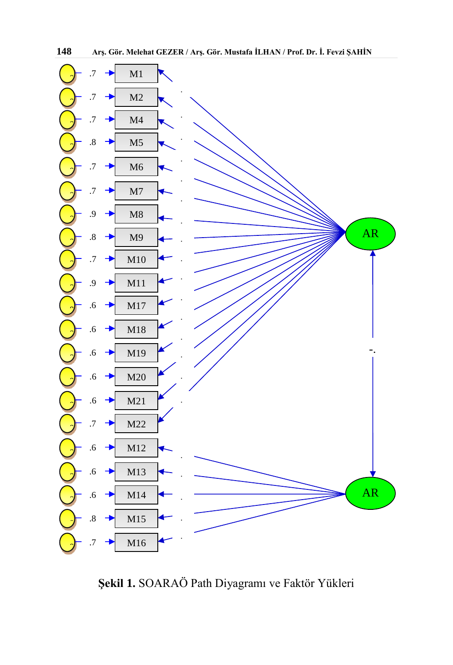

**Şekil 1.** SOARAÖ Path Diyagramı ve Faktör Yükleri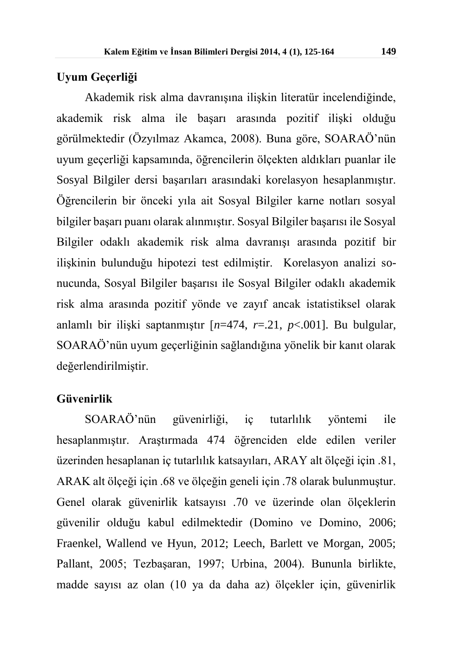### **Uyum Geçerliği**

Akademik risk alma davranışına ilişkin literatür incelendiğinde, akademik risk alma ile başarı arasında pozitif ilişki olduğu görülmektedir (Özyılmaz Akamca, 2008). Buna göre, SOARAÖ'nün uyum geçerliği kapsamında, öğrencilerin ölçekten aldıkları puanlar ile Sosyal Bilgiler dersi başarıları arasındaki korelasyon hesaplanmıştır. Öğrencilerin bir önceki yıla ait Sosyal Bilgiler karne notları sosyal bilgiler başarı puanı olarak alınmıştır. Sosyal Bilgiler başarısı ile Sosyal Bilgiler odaklı akademik risk alma davranışı arasında pozitif bir ilişkinin bulunduğu hipotezi test edilmiştir. Korelasyon analizi sonucunda, Sosyal Bilgiler başarısı ile Sosyal Bilgiler odaklı akademik risk alma arasında pozitif yönde ve zayıf ancak istatistiksel olarak anlamlı bir ilişki saptanmıştır [*n*=474, *r*=.21, *p*<.001]. Bu bulgular, SOARAÖ'nün uyum geçerliğinin sağlandığına yönelik bir kanıt olarak değerlendirilmiştir.

### **Güvenirlik**

SOARAÖ'nün güvenirliği, iç tutarlılık yöntemi ile hesaplanmıştır. Araştırmada 474 öğrenciden elde edilen veriler üzerinden hesaplanan iç tutarlılık katsayıları, ARAY alt ölçeği için .81, ARAK alt ölçeği için .68 ve ölçeğin geneli için .78 olarak bulunmuştur. Genel olarak güvenirlik katsayısı .70 ve üzerinde olan ölçeklerin güvenilir olduğu kabul edilmektedir (Domino ve Domino, 2006; Fraenkel, Wallend ve Hyun, 2012; Leech, Barlett ve Morgan, 2005; Pallant, 2005; Tezbaşaran, 1997; Urbina, 2004). Bununla birlikte, madde sayısı az olan (10 ya da daha az) ölçekler için, güvenirlik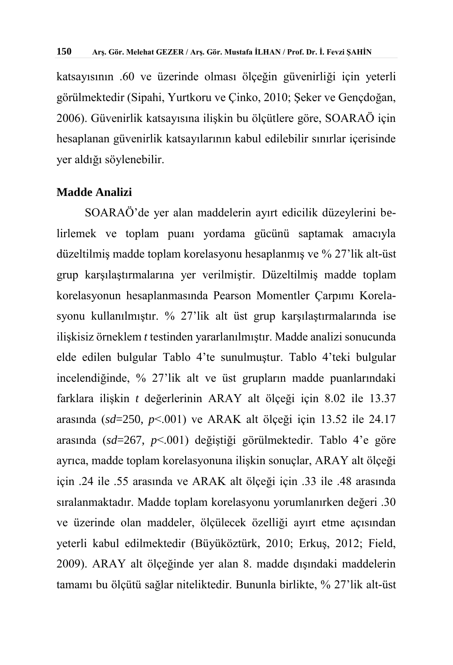katsayısının .60 ve üzerinde olması ölçeğin güvenirliği için yeterli görülmektedir (Sipahi, Yurtkoru ve Çinko, 2010; Şeker ve Gençdoğan, 2006). Güvenirlik katsayısına ilişkin bu ölçütlere göre, SOARAÖ için hesaplanan güvenirlik katsayılarının kabul edilebilir sınırlar içerisinde yer aldığı söylenebilir.

### **Madde Analizi**

SOARAÖ'de yer alan maddelerin ayırt edicilik düzeylerini belirlemek ve toplam puanı yordama gücünü saptamak amacıyla düzeltilmiş madde toplam korelasyonu hesaplanmış ve % 27'lik alt-üst grup karşılaştırmalarına yer verilmiştir. Düzeltilmiş madde toplam korelasyonun hesaplanmasında Pearson Momentler Çarpımı Korelasyonu kullanılmıştır. % 27'lik alt üst grup karşılaştırmalarında ise ilişkisiz örneklem *t* testinden yararlanılmıştır. Madde analizi sonucunda elde edilen bulgular Tablo 4'te sunulmuştur. Tablo 4'teki bulgular incelendiğinde, % 27'lik alt ve üst grupların madde puanlarındaki farklara ilişkin *t* değerlerinin ARAY alt ölçeği için 8.02 ile 13.37 arasında (*sd*=250, *p*<.001) ve ARAK alt ölçeği için 13.52 ile 24.17 arasında (*sd*=267, *p*<.001) değiştiği görülmektedir. Tablo 4'e göre ayrıca, madde toplam korelasyonuna ilişkin sonuçlar, ARAY alt ölçeği için .24 ile .55 arasında ve ARAK alt ölçeği için .33 ile .48 arasında sıralanmaktadır. Madde toplam korelasyonu yorumlanırken değeri .30 ve üzerinde olan maddeler, ölçülecek özelliği ayırt etme açısından yeterli kabul edilmektedir (Büyüköztürk, 2010; Erkuş, 2012; Field, 2009). ARAY alt ölçeğinde yer alan 8. madde dışındaki maddelerin tamamı bu ölçütü sağlar niteliktedir. Bununla birlikte, % 27'lik alt-üst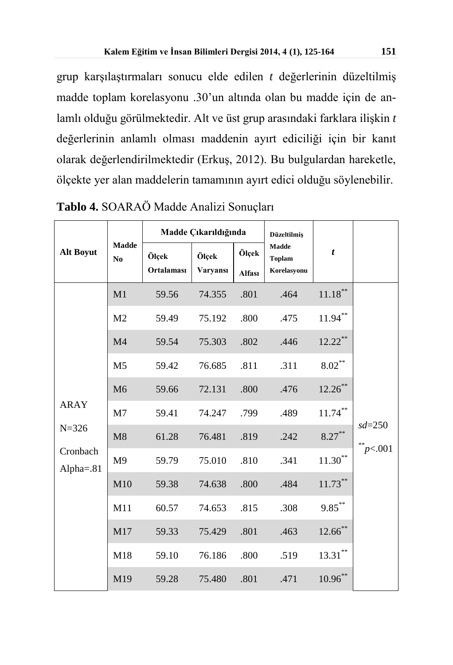grup karşılaştırmaları sonucu elde edilen *t* değerlerinin düzeltilmiş madde toplam korelasyonu .30'un altında olan bu madde için de anlamlı olduğu görülmektedir. Alt ve üst grup arasındaki farklara ilişkin *t* değerlerinin anlamlı olması maddenin ayırt ediciliği için bir kanıt olarak değerlendirilmektedir (Erkuş, 2012). Bu bulgulardan hareketle, ölçekte yer alan maddelerin tamamının ayırt edici olduğu söylenebilir.

| <b>Alt Boyut</b>         |                                | Madde Çıkarıldığında       |                          | <b>Düzeltilmiş</b> |                                              |                    |                               |
|--------------------------|--------------------------------|----------------------------|--------------------------|--------------------|----------------------------------------------|--------------------|-------------------------------|
|                          | <b>Madde</b><br>N <sub>0</sub> | Ölçek<br><b>Ortalaması</b> | Ölçek<br><b>Varyansı</b> | Ölçek<br>Alfası    | <b>Madde</b><br><b>Toplam</b><br>Korelasyonu | $\boldsymbol{t}$   |                               |
|                          | M1                             | 59.56                      | 74.355                   | .801               | .464                                         | $11.18***$         |                               |
|                          | M <sub>2</sub>                 | 59.49                      | 75.192                   | .800               | .475                                         | $11.94\sp{*}$      |                               |
|                          | M <sub>4</sub>                 | 59.54                      | 75.303                   | .802               | .446                                         | $12.22**$          |                               |
|                          | M <sub>5</sub>                 | 59.42                      | 76.685                   | .811               | .311                                         | $\text{8.02}^{**}$ |                               |
|                          | M <sub>6</sub>                 | 59.66                      | 72.131                   | .800               | .476                                         | $12.26$ **         |                               |
| <b>ARAY</b>              | M7                             | 59.41                      | 74.247                   | .799               | .489                                         | $11.74***$         |                               |
| $N = 326$                | M8                             | 61.28                      | 76.481                   | .819               | .242                                         | $8.27***$          | $sd = 250$<br>$\bar{p}$ <.001 |
| Cronbach<br>Alpha $=.81$ | M <sub>9</sub>                 | 59.79                      | 75.010                   | .810               | .341                                         | $11.30***$         |                               |
|                          | M10                            | 59.38                      | 74.638                   | .800               | .484                                         | $11.73***$         |                               |
|                          | M11                            | 60.57                      | 74.653                   | .815               | .308                                         | $9.85***$          |                               |
|                          | M17                            | 59.33                      | 75.429                   | .801               | .463                                         | $12.66$ **         |                               |
|                          | M18                            | 59.10                      | 76.186                   | .800               | .519                                         | $13.31***$         |                               |
|                          | M19                            | 59.28                      | 75.480                   | .801               | .471                                         | $10.96**$          |                               |

**Tablo 4.** SOARAÖ Madde Analizi Sonuçları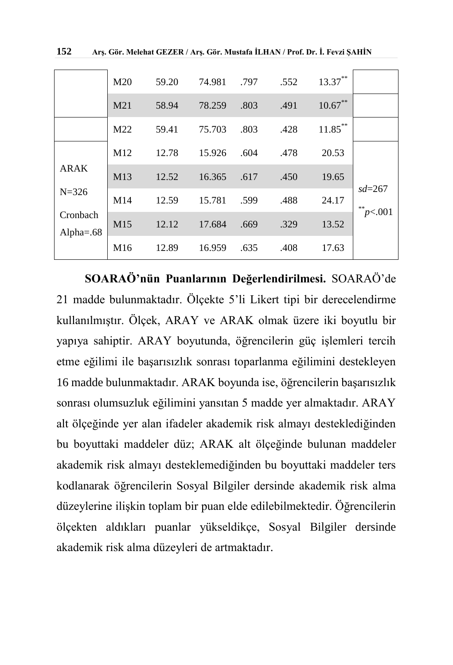|                          | M <sub>20</sub> | 59.20 | 74.981 | .797 | .552 | $13.37***$ |                  |
|--------------------------|-----------------|-------|--------|------|------|------------|------------------|
|                          | M21             | 58.94 | 78.259 | .803 | .491 | $10.67**$  |                  |
|                          | M <sub>22</sub> | 59.41 | 75.703 | .803 | .428 | $11.85***$ |                  |
|                          | M12             | 12.78 | 15.926 | .604 | .478 | 20.53      |                  |
| ARAK                     | M13             | 12.52 | 16.365 | .617 | .450 | 19.65      |                  |
| $N = 326$                | M14             | 12.59 | 15.781 | .599 | .488 | 24.17      | $sd = 267$<br>米米 |
| Cronbach<br>Alpha $=.68$ | M15             | 12.12 | 17.684 | .669 | .329 | 13.52      | p<.001           |
|                          | M <sub>16</sub> | 12.89 | 16.959 | .635 | .408 | 17.63      |                  |

**SOARAÖ'nün Puanlarının Değerlendirilmesi.** SOARAÖ'de 21 madde bulunmaktadır. Ölçekte 5'li Likert tipi bir derecelendirme kullanılmıştır. Ölçek, ARAY ve ARAK olmak üzere iki boyutlu bir yapıya sahiptir. ARAY boyutunda, öğrencilerin güç işlemleri tercih etme eğilimi ile başarısızlık sonrası toparlanma eğilimini destekleyen 16 madde bulunmaktadır. ARAK boyunda ise, öğrencilerin başarısızlık sonrası olumsuzluk eğilimini yansıtan 5 madde yer almaktadır. ARAY alt ölçeğinde yer alan ifadeler akademik risk almayı desteklediğinden bu boyuttaki maddeler düz; ARAK alt ölçeğinde bulunan maddeler akademik risk almayı desteklemediğinden bu boyuttaki maddeler ters kodlanarak öğrencilerin Sosyal Bilgiler dersinde akademik risk alma düzeylerine ilişkin toplam bir puan elde edilebilmektedir. Öğrencilerin ölçekten aldıkları puanlar yükseldikçe, Sosyal Bilgiler dersinde akademik risk alma düzeyleri de artmaktadır.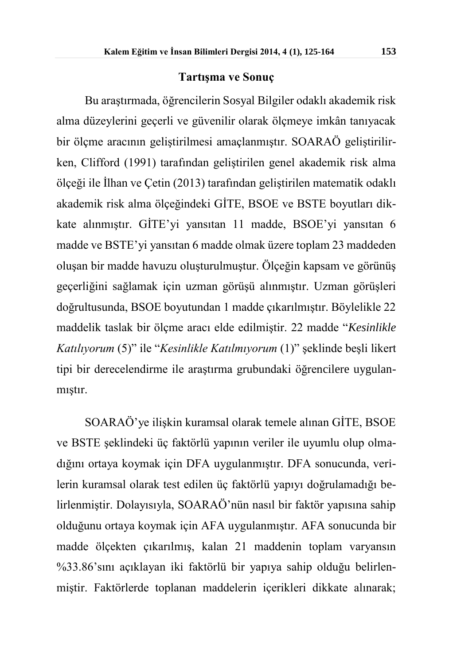### **Tartışma ve Sonuç**

Bu araştırmada, öğrencilerin Sosyal Bilgiler odaklı akademik risk alma düzeylerini geçerli ve güvenilir olarak ölçmeye imkân tanıyacak bir ölçme aracının geliştirilmesi amaçlanmıştır. SOARAÖ geliştirilirken, Clifford (1991) tarafından geliştirilen genel akademik risk alma ölçeği ile İlhan ve Çetin (2013) tarafından geliştirilen matematik odaklı akademik risk alma ölçeğindeki GİTE, BSOE ve BSTE boyutları dikkate alınmıştır. GİTE'yi yansıtan 11 madde, BSOE'yi yansıtan 6 madde ve BSTE'yi yansıtan 6 madde olmak üzere toplam 23 maddeden oluşan bir madde havuzu oluşturulmuştur. Ölçeğin kapsam ve görünüş geçerliğini sağlamak için uzman görüşü alınmıştır. Uzman görüşleri doğrultusunda, BSOE boyutundan 1 madde çıkarılmıştır. Böylelikle 22 maddelik taslak bir ölçme aracı elde edilmiştir. 22 madde "*Kesinlikle Katılıyorum* (5)" ile "*Kesinlikle Katılmıyorum* (1)" şeklinde beşli likert tipi bir derecelendirme ile araştırma grubundaki öğrencilere uygulanmıştır.

SOARAÖ'ye ilişkin kuramsal olarak temele alınan GİTE, BSOE ve BSTE şeklindeki üç faktörlü yapının veriler ile uyumlu olup olmadığını ortaya koymak için DFA uygulanmıştır. DFA sonucunda, verilerin kuramsal olarak test edilen üç faktörlü yapıyı doğrulamadığı belirlenmiştir. Dolayısıyla, SOARAÖ'nün nasıl bir faktör yapısına sahip olduğunu ortaya koymak için AFA uygulanmıştır. AFA sonucunda bir madde ölçekten çıkarılmış, kalan 21 maddenin toplam varyansın %33.86'sını açıklayan iki faktörlü bir yapıya sahip olduğu belirlenmiştir. Faktörlerde toplanan maddelerin içerikleri dikkate alınarak;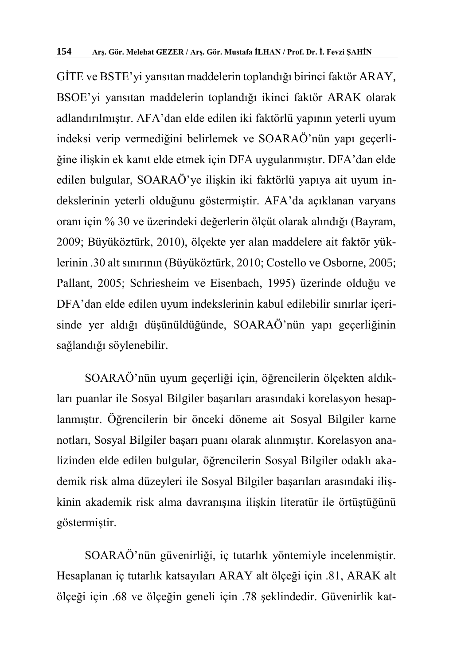GİTE ve BSTE'yi yansıtan maddelerin toplandığı birinci faktör ARAY, BSOE'yi yansıtan maddelerin toplandığı ikinci faktör ARAK olarak adlandırılmıştır. AFA'dan elde edilen iki faktörlü yapının yeterli uyum indeksi verip vermediğini belirlemek ve SOARAÖ'nün yapı geçerliğine ilişkin ek kanıt elde etmek için DFA uygulanmıştır. DFA'dan elde edilen bulgular, SOARAÖ'ye ilişkin iki faktörlü yapıya ait uyum indekslerinin yeterli olduğunu göstermiştir. AFA'da açıklanan varyans oranı için % 30 ve üzerindeki değerlerin ölçüt olarak alındığı (Bayram, 2009; Büyüköztürk, 2010), ölçekte yer alan maddelere ait faktör yüklerinin .30 alt sınırının (Büyüköztürk, 2010; Costello ve Osborne, 2005; Pallant, 2005; Schriesheim ve Eisenbach, 1995) üzerinde olduğu ve DFA'dan elde edilen uyum indekslerinin kabul edilebilir sınırlar içerisinde yer aldığı düşünüldüğünde, SOARAÖ'nün yapı geçerliğinin sağlandığı söylenebilir.

SOARAÖ'nün uyum geçerliği için, öğrencilerin ölçekten aldıkları puanlar ile Sosyal Bilgiler başarıları arasındaki korelasyon hesaplanmıştır. Öğrencilerin bir önceki döneme ait Sosyal Bilgiler karne notları, Sosyal Bilgiler başarı puanı olarak alınmıştır. Korelasyon analizinden elde edilen bulgular, öğrencilerin Sosyal Bilgiler odaklı akademik risk alma düzeyleri ile Sosyal Bilgiler başarıları arasındaki ilişkinin akademik risk alma davranışına ilişkin literatür ile örtüştüğünü göstermiştir.

SOARAÖ'nün güvenirliği, iç tutarlık yöntemiyle incelenmiştir. Hesaplanan iç tutarlık katsayıları ARAY alt ölçeği için .81, ARAK alt ölçeği için .68 ve ölçeğin geneli için .78 şeklindedir. Güvenirlik kat-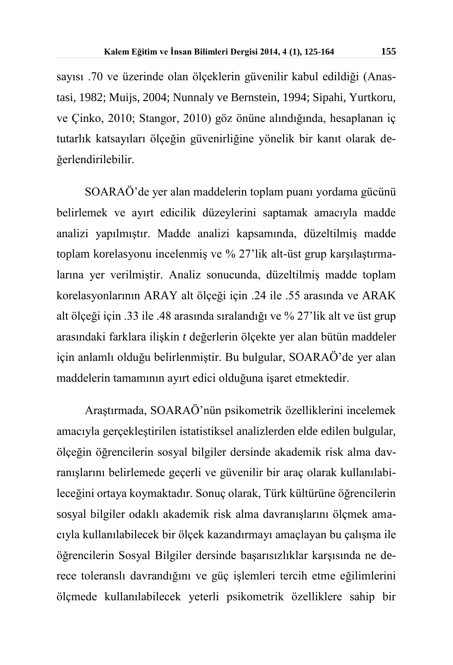sayısı .70 ve üzerinde olan ölçeklerin güvenilir kabul edildiği (Anastasi, 1982; Muijs, 2004; Nunnaly ve Bernstein, 1994; Sipahi, Yurtkoru, ve Çinko, 2010; Stangor, 2010) göz önüne alındığında, hesaplanan iç tutarlık katsayıları ölçeğin güvenirliğine yönelik bir kanıt olarak değerlendirilebilir.

SOARAÖ'de yer alan maddelerin toplam puanı yordama gücünü belirlemek ve ayırt edicilik düzeylerini saptamak amacıyla madde analizi yapılmıştır. Madde analizi kapsamında, düzeltilmiş madde toplam korelasyonu incelenmiş ve % 27'lik alt-üst grup karşılaştırmalarına yer verilmiştir. Analiz sonucunda, düzeltilmiş madde toplam korelasyonlarının ARAY alt ölçeği için .24 ile .55 arasında ve ARAK alt ölçeği için .33 ile .48 arasında sıralandığı ve % 27'lik alt ve üst grup arasındaki farklara ilişkin *t* değerlerin ölçekte yer alan bütün maddeler için anlamlı olduğu belirlenmiştir. Bu bulgular, SOARAÖ'de yer alan maddelerin tamamının ayırt edici olduğuna işaret etmektedir.

Araştırmada, SOARAÖ'nün psikometrik özelliklerini incelemek amacıyla gerçekleştirilen istatistiksel analizlerden elde edilen bulgular, ölçeğin öğrencilerin sosyal bilgiler dersinde akademik risk alma davranışlarını belirlemede geçerli ve güvenilir bir araç olarak kullanılabileceğini ortaya koymaktadır. Sonuç olarak, Türk kültürüne öğrencilerin sosyal bilgiler odaklı akademik risk alma davranışlarını ölçmek amacıyla kullanılabilecek bir ölçek kazandırmayı amaçlayan bu çalışma ile öğrencilerin Sosyal Bilgiler dersinde başarısızlıklar karşısında ne derece toleranslı davrandığını ve güç işlemleri tercih etme eğilimlerini ölçmede kullanılabilecek yeterli psikometrik özelliklere sahip bir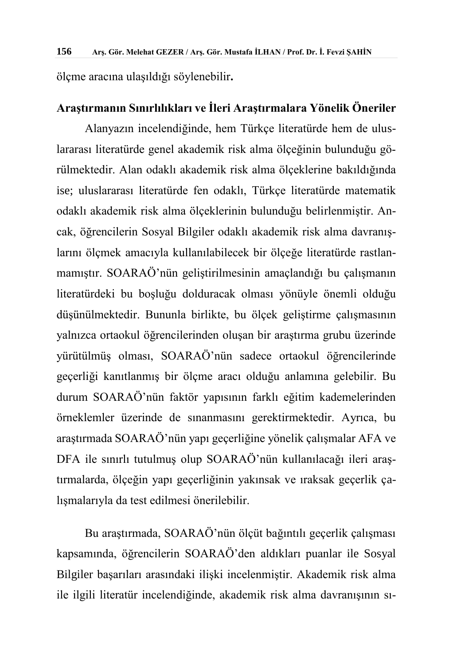ölçme aracına ulaşıldığı söylenebilir**.** 

### **Araştırmanın Sınırlılıkları ve İleri Araştırmalara Yönelik Öneriler**

Alanyazın incelendiğinde, hem Türkçe literatürde hem de uluslararası literatürde genel akademik risk alma ölçeğinin bulunduğu görülmektedir. Alan odaklı akademik risk alma ölçeklerine bakıldığında ise; uluslararası literatürde fen odaklı, Türkçe literatürde matematik odaklı akademik risk alma ölçeklerinin bulunduğu belirlenmiştir. Ancak, öğrencilerin Sosyal Bilgiler odaklı akademik risk alma davranışlarını ölçmek amacıyla kullanılabilecek bir ölçeğe literatürde rastlanmamıştır. SOARAÖ'nün geliştirilmesinin amaçlandığı bu çalışmanın literatürdeki bu boşluğu dolduracak olması yönüyle önemli olduğu düşünülmektedir. Bununla birlikte, bu ölçek geliştirme çalışmasının yalnızca ortaokul öğrencilerinden oluşan bir araştırma grubu üzerinde yürütülmüş olması, SOARAÖ'nün sadece ortaokul öğrencilerinde geçerliği kanıtlanmış bir ölçme aracı olduğu anlamına gelebilir. Bu durum SOARAÖ'nün faktör yapısının farklı eğitim kademelerinden örneklemler üzerinde de sınanmasını gerektirmektedir. Ayrıca, bu araştırmada SOARAÖ'nün yapı geçerliğine yönelik çalışmalar AFA ve DFA ile sınırlı tutulmuş olup SOARAÖ'nün kullanılacağı ileri araştırmalarda, ölçeğin yapı geçerliğinin yakınsak ve ıraksak geçerlik çalışmalarıyla da test edilmesi önerilebilir.

Bu araştırmada, SOARAÖ'nün ölçüt bağıntılı geçerlik çalışması kapsamında, öğrencilerin SOARAÖ'den aldıkları puanlar ile Sosyal Bilgiler başarıları arasındaki ilişki incelenmiştir. Akademik risk alma ile ilgili literatür incelendiğinde, akademik risk alma davranışının sı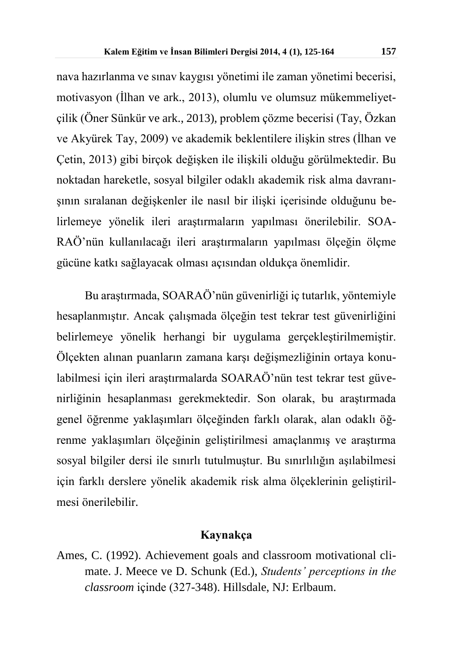nava hazırlanma ve sınav kaygısı yönetimi ile zaman yönetimi becerisi, motivasyon (İlhan ve ark., 2013), olumlu ve olumsuz mükemmeliyetçilik (Öner Sünkür ve ark., 2013), problem çözme becerisi (Tay, Özkan ve Akyürek Tay, 2009) ve akademik beklentilere ilişkin stres (İlhan ve Çetin, 2013) gibi birçok değişken ile ilişkili olduğu görülmektedir. Bu noktadan hareketle, sosyal bilgiler odaklı akademik risk alma davranışının sıralanan değişkenler ile nasıl bir ilişki içerisinde olduğunu belirlemeye yönelik ileri araştırmaların yapılması önerilebilir. SOA-RAÖ'nün kullanılacağı ileri araştırmaların yapılması ölçeğin ölçme gücüne katkı sağlayacak olması açısından oldukça önemlidir.

Bu araştırmada, SOARAÖ'nün güvenirliği iç tutarlık, yöntemiyle hesaplanmıştır. Ancak çalışmada ölçeğin test tekrar test güvenirliğini belirlemeye yönelik herhangi bir uygulama gerçekleştirilmemiştir. Ölçekten alınan puanların zamana karşı değişmezliğinin ortaya konulabilmesi için ileri araştırmalarda SOARAÖ'nün test tekrar test güvenirliğinin hesaplanması gerekmektedir. Son olarak, bu araştırmada genel öğrenme yaklaşımları ölçeğinden farklı olarak, alan odaklı öğrenme yaklaşımları ölçeğinin geliştirilmesi amaçlanmış ve araştırma sosyal bilgiler dersi ile sınırlı tutulmuştur. Bu sınırlılığın aşılabilmesi için farklı derslere yönelik akademik risk alma ölçeklerinin geliştirilmesi önerilebilir.

#### **Kaynakça**

Ames, C. (1992). Achievement goals and classroom motivational climate. J. Meece ve D. Schunk (Ed.), *Students' perceptions in the classroom* içinde (327-348). Hillsdale, NJ: Erlbaum.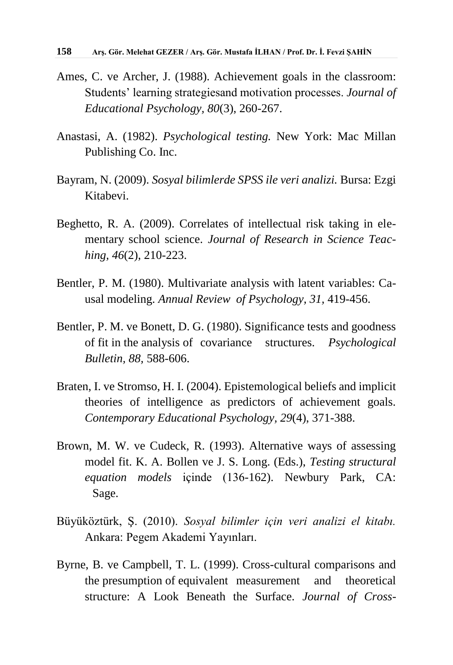- Ames, C. ve Archer, J. (1988). Achievement goals in the classroom: Students' learning strategiesand motivation processes. *Journal of Educational Psychology, 80*(3), 260-267.
- Anastasi, A. (1982). *Psychological testing.* New York: Mac Millan Publishing Co. Inc.
- Bayram, N. (2009). *Sosyal bilimlerde SPSS ile veri analizi.* Bursa: Ezgi Kitabevi.
- Beghetto, R. A. (2009). Correlates of intellectual risk taking in elementary school science. *Journal of Research in Science Teaching, 46*(2), 210-223.
- Bentler, P. M. (1980). Multivariate analysis with latent variables: Causal modeling. *Annual Review of Psychology, 31,* 419-456.
- Bentler, P. M. ve Bonett, D. G. (1980). Significance tests and goodness of fit in the analysis of covariance structures. *Psychological Bulletin, 88,* 588-606.
- Braten, I. ve Stromso, H. I. (2004). Epistemological beliefs and implicit theories of intelligence as predictors of achievement goals. *Contemporary Educational Psychology, 29*(4), 371-388.
- Brown, M. W. ve Cudeck, R. (1993). Alternative ways of assessing model fit. K. A. Bollen ve J. S. Long. (Eds.), *Testing structural equation models* içinde (136-162). Newbury Park, CA: Sage.
- Büyüköztürk, Ş. (2010). *Sosyal bilimler için veri analizi el kitabı.*  Ankara: Pegem Akademi Yayınları.
- Byrne, B. ve Campbell, T. L. (1999). Cross-cultural comparisons and the presumption of equivalent measurement and theoretical structure: A Look Beneath the Surface. *Journal of Cross-*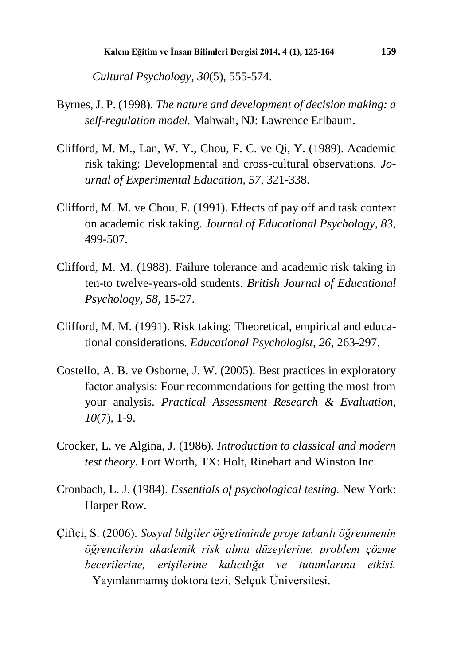*Cultural Psychology, 30*(5), 555-574.

- Byrnes, J. P. (1998). *The nature and development of decision making: a self-regulation model.* Mahwah, NJ: Lawrence Erlbaum.
- Clifford, M. M., Lan, W. Y., Chou, F. C. ve Qi, Y. (1989). Academic risk taking: Developmental and cross-cultural observations. *Journal of Experimental Education, 57*, 321-338.
- Clifford, M. M. ve Chou, F. (1991). Effects of pay off and task context on academic risk taking. *Journal of Educational Psychology, 83,* 499-507.
- Clifford, M. M. (1988). Failure tolerance and academic risk taking in ten-to twelve-years-old students. *British Journal of Educational Psychology, 58,* 15-27.
- Clifford, M. M. (1991). Risk taking: Theoretical, empirical and educational considerations. *Educational Psychologist, 26,* 263-297.
- Costello, A. B. ve Osborne, J. W. (2005). Best practices in exploratory factor analysis: Four recommendations for getting the most from your analysis. *Practical Assessment Research & Evaluation, 10*(7), 1-9.
- Crocker, L. ve Algina, J. (1986). *Introduction to classical and modern test theory.* Fort Worth, TX: Holt, Rinehart and Winston Inc.
- Cronbach, L. J. (1984). *Essentials of psychological testing.* New York: Harper Row.
- Çiftçi, S. (2006). *Sosyal bilgiler öğretiminde proje tabanlı öğrenmenin öğrencilerin akademik risk alma düzeylerine, problem çözme becerilerine, erişilerine kalıcılığa ve tutumlarına etkisi.* Yayınlanmamış doktora tezi, Selçuk Üniversitesi.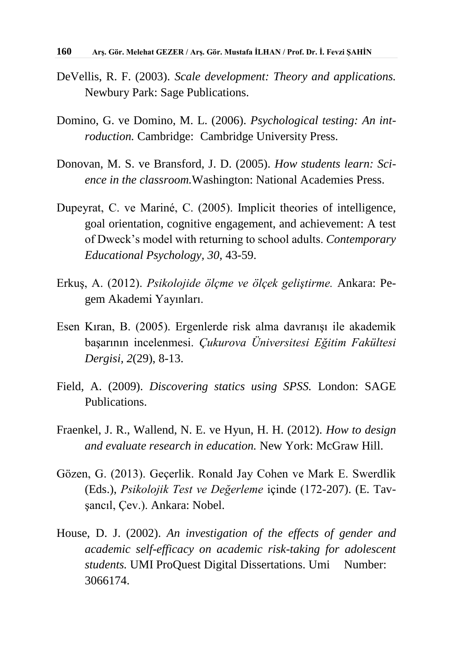- DeVellis, R. F. (2003). *Scale development: Theory and applications.* Newbury Park: Sage Publications.
- Domino, G. ve Domino, M. L. (2006). *Psychological testing: An introduction.* Cambridge: Cambridge University Press.
- Donovan, M. S. ve Bransford, J. D. (2005). *How students learn: Science in the classroom.*Washington: National Academies Press.
- Dupeyrat, C. ve Mariné, C. (2005). Implicit theories of intelligence, goal orientation, cognitive engagement, and achievement: A test of Dweck's model with returning to school adults. *Contemporary Educational Psychology, 30,* 43-59.
- Erkuş, A. (2012). *Psikolojide ölçme ve ölçek geliştirme.* Ankara: Pegem Akademi Yayınları.
- Esen Kıran, B. (2005). Ergenlerde risk alma davranışı ile akademik başarının incelenmesi. *Çukurova Üniversitesi Eğitim Fakültesi Dergisi, 2*(29), 8-13.
- Field, A. (2009). *Discovering statics using SPSS.* London: SAGE Publications.
- Fraenkel, J. R., Wallend, N. E. ve Hyun, H. H. (2012). *How to design and evaluate research in education.* New York: McGraw Hill.
- Gözen, G. (2013). Geçerlik. Ronald Jay Cohen ve Mark E. Swerdlik (Eds.), *Psikolojik Test ve Değerleme* içinde (172-207). (E. Tavşancıl, Çev.). Ankara: Nobel.
- House, D. J. (2002). *An investigation of the effects of gender and academic self-efficacy on academic risk-taking for adolescent students.* UMI ProQuest Digital Dissertations. Umi Number: 3066174.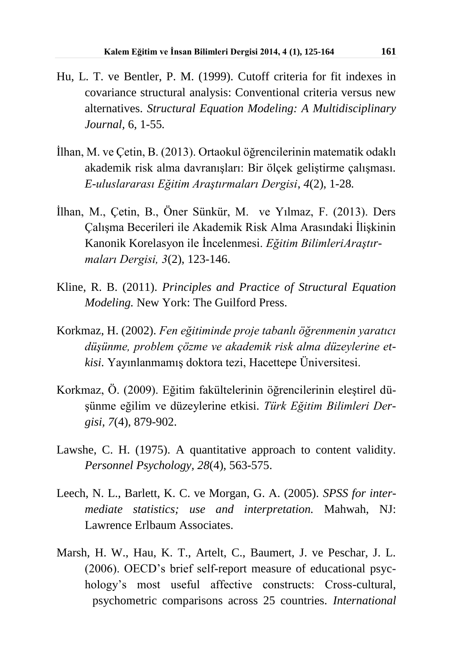- Hu, L. T. ve Bentler, P. M. (1999). Cutoff criteria for fit indexes in covariance structural analysis: Conventional criteria versus new alternatives. *Structural Equation Modeling: A Multidisciplinary Journal,* 6, 1-55*.*
- İlhan, M. ve Çetin, B. (2013). Ortaokul öğrencilerinin matematik odaklı akademik risk alma davranışları: Bir ölçek geliştirme çalışması*. E-uluslararası Eğitim Araştırmaları Dergisi*, *4*(2), 1-28*.*
- İlhan, M., Çetin, B., Öner Sünkür, M. ve Yılmaz, F. (2013). Ders Çalışma Becerileri ile Akademik Risk Alma Arasındaki İlişkinin Kanonik Korelasyon ile İncelenmesi. *Eğitim BilimleriAraştırmaları Dergisi, 3*(2), 123-146.
- Kline, R. B. (2011). *Principles and Practice of Structural Equation Modeling.* New York: The Guilford Press.
- Korkmaz, H. (2002). *Fen eğitiminde proje tabanlı öğrenmenin yaratıcı düşünme, problem çözme ve akademik risk alma düzeylerine etkisi.* Yayınlanmamış doktora tezi, Hacettepe Üniversitesi.
- Korkmaz, Ö. (2009). Eğitim fakültelerinin öğrencilerinin eleştirel düşünme eğilim ve düzeylerine etkisi. *Türk Eğitim Bilimleri Dergisi, 7*(4), 879-902.
- Lawshe, C. H. (1975). A quantitative approach to content validity. *Personnel Psychology, 28*(4), 563-575.
- Leech, N. L., Barlett, K. C. ve Morgan, G. A. (2005). *SPSS for intermediate statistics; use and interpretation.* Mahwah, NJ: Lawrence Erlbaum Associates.
- Marsh, H. W., Hau, K. T., Artelt, C., Baumert, J. ve Peschar, J. L. (2006). OECD's brief self-report measure of educational psychology's most useful affective constructs: Cross-cultural, psychometric comparisons across 25 countries. *International*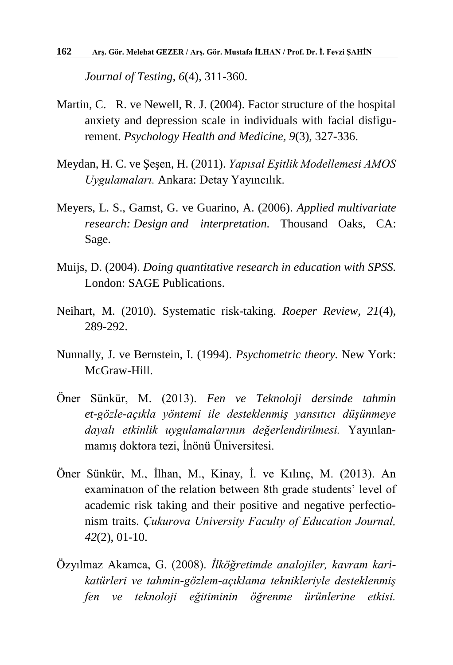*Journal of Testing, 6*(4), 311-360.

- Martin, C. R. ve Newell, R. J. (2004). Factor structure of the hospital anxiety and depression scale in individuals with facial disfigurement. *Psychology Health and Medicine, 9*(3), 327-336.
- Meydan, H. C. ve Şeşen, H. (2011). *Yapısal Eşitlik Modellemesi AMOS Uygulamaları.* Ankara: Detay Yayıncılık.
- Meyers, L. S., Gamst, G. ve Guarino, A. (2006). *Applied multivariate research: Design and interpretation.* Thousand Oaks, CA: Sage.
- Muijs, D. (2004). *Doing quantitative research in education with SPSS.* London: SAGE Publications.
- Neihart, M. (2010). Systematic risk-taking. *Roeper Review, 21*(4), 289-292.
- Nunnally, J. ve Bernstein, I. (1994). *Psychometric theory.* New York: McGraw-Hill.
- Öner Sünkür, M. (2013). *Fen ve Teknoloji dersinde tahmin et-gözle-açıkla yöntemi ile desteklenmiş yansıtıcı düşünmeye dayalı etkinlik uygulamalarının değerlendirilmesi.* Yayınlanmamış doktora tezi, İnönü Üniversitesi.
- Öner Sünkür, M., İlhan, M., Kinay, İ. ve Kılınç, M. (2013). An examinatıon of the relation between 8th grade students' level of academic risk taking and their positive and negative perfectionism traits. *Çukurova University Faculty of Education Journal, 42*(2), 01-10.
- Özyılmaz Akamca, G. (2008). *İlköğretimde analojiler, kavram karikatürleri ve tahmin-gözlem-açıklama teknikleriyle desteklenmiş fen ve teknoloji eğitiminin öğrenme ürünlerine etkisi.*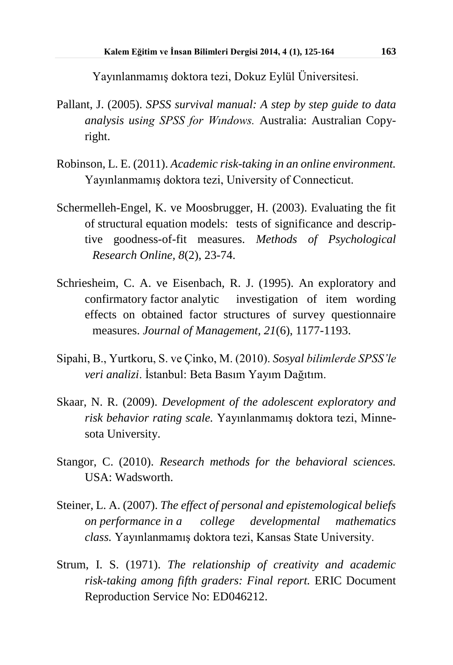Yayınlanmamış doktora tezi, Dokuz Eylül Üniversitesi.

- Pallant, J. (2005). *SPSS survival manual: A step by step guide to data analysis using SPSS for Wındows.* Australia: Australian Copyright.
- Robinson, L. E. (2011). *Academic risk-taking in an online environment.* Yayınlanmamış doktora tezi, University of Connecticut.
- Schermelleh-Engel, K. ve Moosbrugger, H. (2003). Evaluating the fit of structural equation models: tests of significance and descriptive goodness-of-fit measures. *Methods of Psychological Research Online, 8*(2), 23-74.
- Schriesheim, C. A. ve Eisenbach, R. J. (1995). An exploratory and confirmatory factor analytic investigation of item wording effects on obtained factor structures of survey questionnaire measures. *Journal of Management, 21*(6), 1177-1193.
- Sipahi, B., Yurtkoru, S. ve Çinko, M. (2010). *Sosyal bilimlerde SPSS'le veri analizi*. İstanbul: Beta Basım Yayım Dağıtım.
- Skaar, N. R. (2009). *Development of the adolescent exploratory and risk behavior rating scale.* Yayınlanmamış doktora tezi, Minnesota University.
- Stangor, C. (2010). *Research methods for the behavioral sciences.* USA: Wadsworth.
- Steiner, L. A. (2007). *The effect of personal and epistemological beliefs on performance in a college developmental mathematics class.* Yayınlanmamış doktora tezi, Kansas State University.
- Strum, I. S. (1971). *The relationship of creativity and academic risk-taking among fifth graders: Final report.* ERIC Document Reproduction Service No: ED046212.